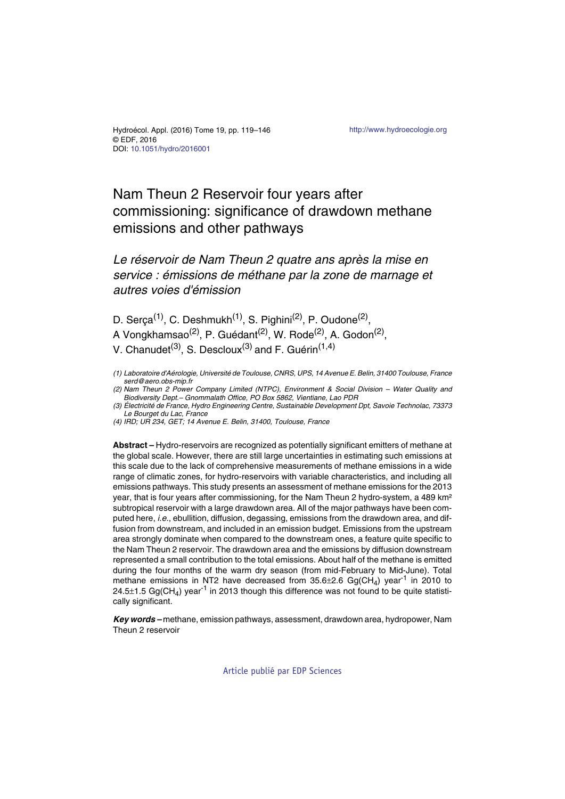# Nam Theun 2 Reservoir four years after commissioning: significance of drawdown methane emissions and other pathways

## *Le réservoir de Nam Theun 2 quatre ans après la mise en service : émissions de méthane par la zone de marnage et autres voies d'émission*

D. Serça<sup>(1)</sup>, C. Deshmukh<sup>(1)</sup>, S. Pighini<sup>(2)</sup>, P. Oudone<sup>(2)</sup>, A Vongkhamsao<sup>(2)</sup>, P. Guédant<sup>(2)</sup>, W. Rode<sup>(2)</sup>, A. Godon<sup>(2)</sup>, V. Chanudet<sup>(3)</sup>, S. Descloux<sup>(3)</sup> and F. Guérin<sup>(1,4)</sup>

*(1) Laboratoire d'Aérologie, Université de Toulouse, CNRS, UPS, 14 Avenue E. Belin, 31400 Toulouse, France serd@aero.obs-mip.fr*

*(2) Nam Theun 2 Power Company Limited (NTPC), Environment & Social Division – Water Quality and Biodiversity Dept.– Gnommalath Office, PO Box 5862, Vientiane, Lao PDR*

*(3) Électricité de France, Hydro Engineering Centre, Sustainable Development Dpt, Savoie Technolac, 73373 Le Bourget du Lac, France*

*(4) IRD; UR 234, GET; 14 Avenue E. Belin, 31400, Toulouse, France*

**Abstract –** Hydro-reservoirs are recognized as potentially significant emitters of methane at the global scale. However, there are still large uncertainties in estimating such emissions at this scale due to the lack of comprehensive measurements of methane emissions in a wide range of climatic zones, for hydro-reservoirs with variable characteristics, and including all emissions pathways. This study presents an assessment of methane emissions for the 2013 year, that is four years after commissioning, for the Nam Theun 2 hydro-system, a 489 km<sup>2</sup> subtropical reservoir with a large drawdown area. All of the major pathways have been computed here, *i.e.*, ebullition, diffusion, degassing, emissions from the drawdown area, and diffusion from downstream, and included in an emission budget. Emissions from the upstream area strongly dominate when compared to the downstream ones, a feature quite specific to the Nam Theun 2 reservoir. The drawdown area and the emissions by diffusion downstream represented a small contribution to the total emissions. About half of the methane is emitted during the four months of the warm dry season (from mid-February to Mid-June). Total methane emissions in NT2 have decreased from  $35.6\pm2.6$  Gg(CH<sub>4</sub>) year<sup>-1</sup> in 2010 to 24.5 $\pm$ 1.5 Gg(CH<sub>4</sub>) year<sup>-1</sup> in 2013 though this difference was not found to be quite statistically significant.

*Key words –* methane, emission pathways, assessment, drawdown area, hydropower, Nam Theun 2 reservoir

[Article publié par EDP Sciences](http://publications.edpsciences.org)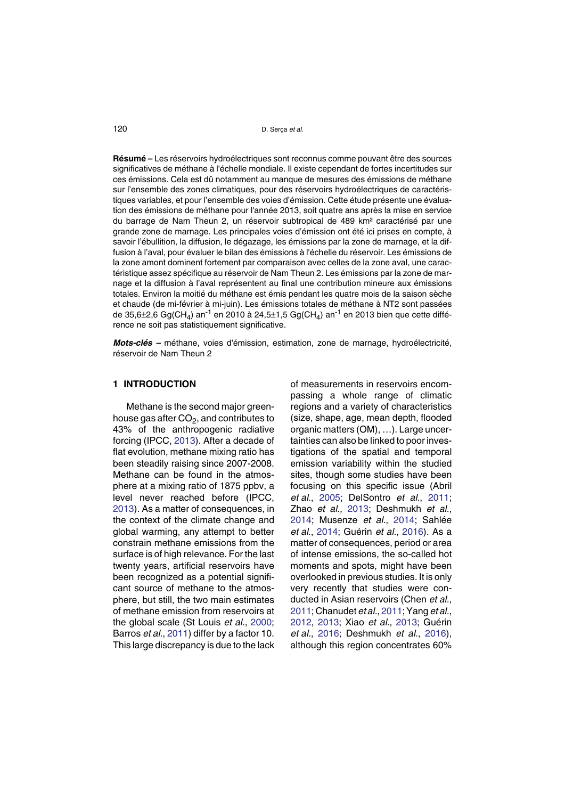**Résumé –** Les réservoirs hydroélectriques sont reconnus comme pouvant être des sources significatives de méthane à l'échelle mondiale. Il existe cependant de fortes incertitudes sur ces émissions. Cela est dû notamment au manque de mesures des émissions de méthane sur l'ensemble des zones climatiques, pour des réservoirs hydroélectriques de caractéristiques variables, et pour l'ensemble des voies d'émission. Cette étude présente une évaluation des émissions de méthane pour l'année 2013, soit quatre ans après la mise en service du barrage de Nam Theun 2, un réservoir subtropical de 489 km² caractérisé par une grande zone de marnage. Les principales voies d'émission ont été ici prises en compte, à savoir l'ébullition, la diffusion, le dégazage, les émissions par la zone de marnage, et la diffusion à l'aval, pour évaluer le bilan des émissions à l'échelle du réservoir. Les émissions de la zone amont dominent fortement par comparaison avec celles de la zone aval, une caractéristique assez spécifique au réservoir de Nam Theun 2. Les émissions par la zone de marnage et la diffusion à l'aval représentent au final une contribution mineure aux émissions totales. Environ la moitié du méthane est émis pendant les quatre mois de la saison sèche et chaude (de mi-février à mi-juin). Les émissions totales de méthane à NT2 sont passées de 35,6 $\pm$ 2,6 Gg(CH<sub>4</sub>) an<sup>-1</sup> en 2010 à 24,5 $\pm$ 1,5 Gg(CH<sub>4</sub>) an<sup>-1</sup> en 2013 bien que cette différence ne soit pas statistiquement significative.

*Mots-clés –* méthane, voies d'émission, estimation, zone de marnage, hydroélectricité, réservoir de Nam Theun 2

### **1 INTRODUCTION**

Methane is the second major greenhouse gas after  $CO<sub>2</sub>$ , and contributes to 43% of the anthropogenic radiative forcing (IPCC, [20](#page-26-0)13). After a decade of flat evolution, methane mixing ratio has been steadily raising since 2007-2008. Methane can be found in the atmosphere at a mixing ratio of 1875 ppbv, a level never reached before (IPCC, 2[0](#page-26-0)13). As a matter of consequences, in the context of the climate change and global warming, any attempt to better constrain methane emissions from the surface is of high relevance. For the last twenty years, artificial reservoirs have been recognized as a potential significant source of methane to the atmosphere, but still, the two main estimates of methane emission from reservoirs at the global scale (St Louis *et al.*, 2[00](#page-27-0)0; Barros *et al.*, 2[01](#page-24-0)1) differ by a factor 10. This large discrepancy is due to the lack of measurements in reservoirs encompassing a whole range of climatic regions and a variety of characteristics (size, shape, age, mean depth, flooded organic matters (OM), …). Large uncertainties can also be linked to poor investigations of the spatial and temporal emission variability within the studied sites, though some studies have been focusing on this specific issue (Abril *et al.*, 20[0](#page-24-1)5; DelSontro *et al.*, 2[01](#page-25-0)1; Zhao *et al.,* 2[01](#page-27-1)3; Deshmukh *et al.*, 2[01](#page-25-1)4; Musenze *et al.*, 20[1](#page-26-1)4; Sahlée *et al.*, 20[1](#page-26-2)4; Guérin *et al.*, 2[01](#page-26-3)6). As a matter of consequences, period or area of intense emissions, the so-called hot moments and spots, might have been overlooked in previous studies. It is only very recently that studies were conducted in Asian reservoirs (Chen *et al.*, 2[01](#page-25-2)1; Chanudet *et al.*, 20[1](#page-25-3)1; Yang *et al.*, 2[01](#page-27-2)2, 201[3](#page-27-3); Xiao *et al.*, 20[1](#page-27-4)3; Guérin *et al.*, 2[01](#page-26-3)6; Deshmukh *et al.*, 2[01](#page-25-4)6), although this region concentrates 60%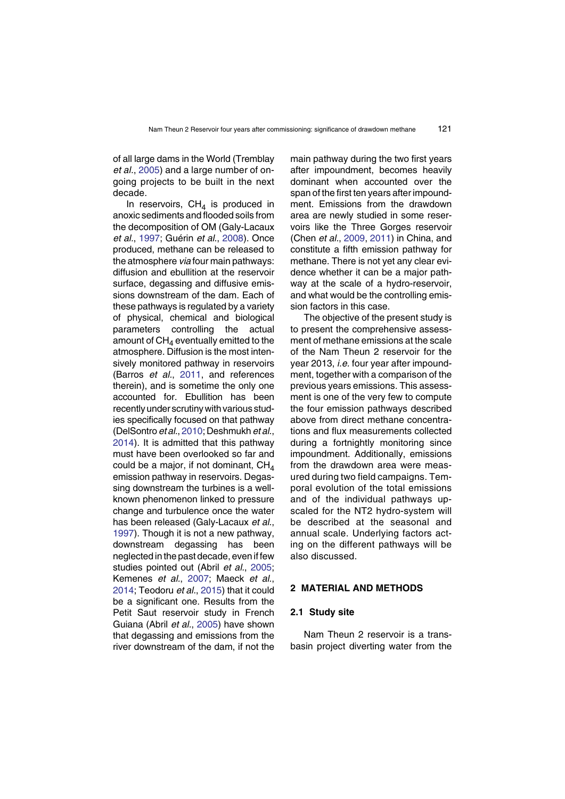of all large dams in the World (Tremblay *et al.*, 2[00](#page-27-5)5) and a large number of ongoing projects to be built in the next decade.

In reservoirs,  $CH<sub>A</sub>$  is produced in anoxic sediments and flooded soils from the decomposition of OM (Galy-Lacaux *et al.*, 19[9](#page-25-5)7; Guérin *et al.*, 2[00](#page-26-4)8). Once produced, methane can be released to the atmosphere *via* four main pathways: diffusion and ebullition at the reservoir surface, degassing and diffusive emissions downstream of the dam. Each of these pathways is regulated by a variety of physical, chemical and biological parameters controlling the actual amount of  $CH<sub>4</sub>$  eventually emitted to the atmosphere. Diffusion is the most intensively monitored pathway in reservoirs (Barros *et al.*, 20[1](#page-24-0)1, and references therein), and is sometime the only one accounted for. Ebullition has been recently under scrutiny with various studies specifically focused on that pathway (DelSontro *et al.*, 2[01](#page-25-4)0; Deshmukh *et al.*, 2[01](#page-25-6)4). It is admitted that this pathway must have been overlooked so far and could be a major, if not dominant,  $CH<sub>4</sub>$ emission pathway in reservoirs. Degassing downstream the turbines is a wellknown phenomenon linked to pressure change and turbulence once the water has been released (Galy-Lacaux *et al.*, 1[99](#page-25-5)7). Though it is not a new pathway, downstream degassing has been neglected in the past decade, even if few studies pointed out (Abril *et al.*, 2[00](#page-24-1)5; Kemenes *et al.*, 2[00](#page-26-5)7; Maeck *et al.*, 2[01](#page-26-6)4; Teodoru *et al.*, 20[1](#page-27-6)5) that it could be a significant one. Results from the Petit Saut reservoir study in French Guiana (Abril *et al.*, 20[0](#page-24-1)5) have shown that degassing and emissions from the river downstream of the dam, if not the

main pathway during the two first years after impoundment, becomes heavily dominant when accounted over the span of the first ten years after impoundment. Emissions from the drawdown area are newly studied in some reservoirs like the Three Gorges reservoir (Chen *et al.*, 20[0](#page-25-2)9, 2[01](#page-25-7)1) in China, and constitute a fifth emission pathway for methane. There is not yet any clear evidence whether it can be a major pathway at the scale of a hydro-reservoir, and what would be the controlling emission factors in this case.

The objective of the present study is to present the comprehensive assessment of methane emissions at the scale of the Nam Theun 2 reservoir for the year 2013, *i.e.* four year after impoundment, together with a comparison of the previous years emissions. This assessment is one of the very few to compute the four emission pathways described above from direct methane concentrations and flux measurements collected during a fortnightly monitoring since impoundment. Additionally, emissions from the drawdown area were measured during two field campaigns. Temporal evolution of the total emissions and of the individual pathways upscaled for the NT2 hydro-system will be described at the seasonal and annual scale. Underlying factors acting on the different pathways will be also discussed.

## **2 MATERIAL AND METHODS**

#### **2.1 Study site**

Nam Theun 2 reservoir is a transbasin project diverting water from the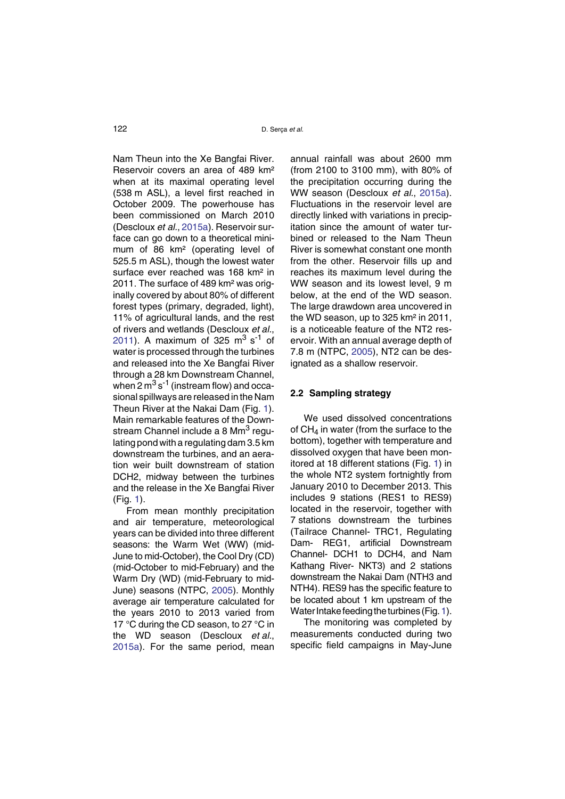Nam Theun into the Xe Bangfai River. Reservoir covers an area of 489 km² when at its maximal operating level (538 m ASL), a level first reached in October 2009. The powerhouse has been commissioned on March 2010 (Descloux *et al.*, 20[1](#page-25-8)5a). Reservoir surface can go down to a theoretical minimum of 86 km² (operating level of 525.5 m ASL), though the lowest water surface ever reached was 168 km<sup>2</sup> in 2011. The surface of 489 km² was originally covered by about 80% of different forest types (primary, degraded, light), 11% of agricultural lands, and the rest of rivers and wetlands (Descloux *et al.*, 2[01](#page-25-9)1). A maximum of 325  $\text{m}^3$  s<sup>-1</sup> of water is processed through the turbines and released into the Xe Bangfai River through a 28 km Downstream Channel, when 2  $\text{m}^3\text{ s}^{-1}$  (instream flow) and occasional spillways are released in the Nam Theun River at the Nakai Dam (Fig. [1](#page-4-0)). Main remarkable features of the Downstream Channel include a 8 Mm<sup>3</sup> regulating pond with a regulating dam 3.5 km downstream the turbines, and an aeration weir built downstream of station DCH2, midway between the turbines and the release in the Xe Bangfai River (Fig. [1](#page-4-0)).

From mean monthly precipitation and air temperature, meteorological years can be divided into three different seasons: the Warm Wet (WW) (mid-June to mid-October), the Cool Dry (CD) (mid-October to mid-February) and the Warm Dry (WD) (mid-February to mid-June) seasons (NTPC, 2[00](#page-26-7)5). Monthly average air temperature calculated for the years 2010 to 2013 varied from 17 °C during the CD season, to 27 °C in the WD season (Descloux *et al.*, 2[01](#page-25-8)5a). For the same period, mean

annual rainfall was about 2600 mm (from 2100 to 3100 mm), with 80% of the precipitation occurring during the WW season (Descloux *et al.*, 20[1](#page-25-8)5a). Fluctuations in the reservoir level are directly linked with variations in precipitation since the amount of water turbined or released to the Nam Theun River is somewhat constant one month from the other. Reservoir fills up and reaches its maximum level during the WW season and its lowest level, 9 m below, at the end of the WD season. The large drawdown area uncovered in the WD season, up to 325 km² in 2011, is a noticeable feature of the NT2 reservoir. With an annual average depth of 7.8 m (NTPC, 20[0](#page-26-7)5), NT2 can be designated as a shallow reservoir.

## **2.2 Sampling strategy**

We used dissolved concentrations of  $CH<sub>4</sub>$  in water (from the surface to the bottom), together with temperature and dissolved oxygen that have been monitored at 18 different stations (Fig. [1](#page-4-0)) in the whole NT2 system fortnightly from January 2010 to December 2013. This includes 9 stations (RES1 to RES9) located in the reservoir, together with 7 stations downstream the turbines (Tailrace Channel- TRC1, Regulating Dam- REG1, artificial Downstream Channel- DCH1 to DCH4, and Nam Kathang River- NKT3) and 2 stations downstream the Nakai Dam (NTH3 and NTH4). RES9 has the specific feature to be located about 1 km upstream of the Water Intake feeding the turbines (Fig. [1](#page-4-0)).

The monitoring was completed by measurements conducted during two specific field campaigns in May-June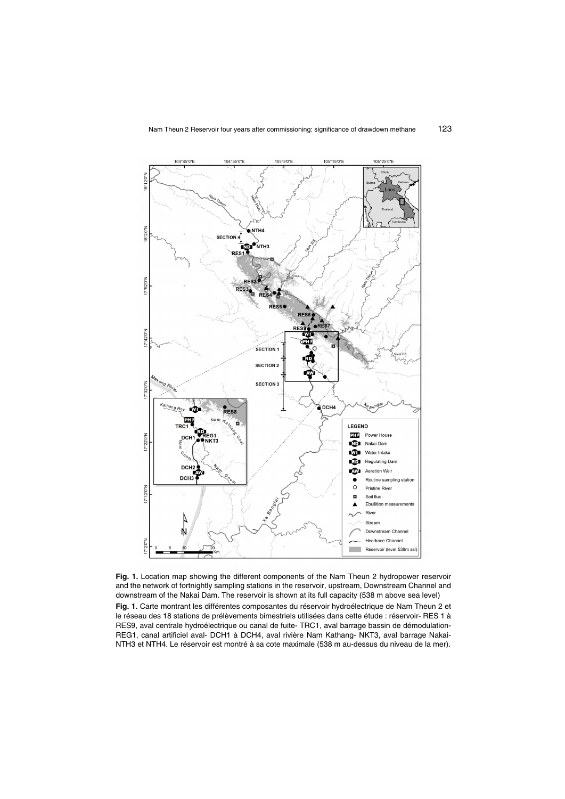

<span id="page-4-0"></span>Fig. 1. Location map showing the different components of the Nam Theun 2 hydropower reservoir and the network of fortnightly sampling stations in the reservoir, upstream, Downstream Channel and downstream of the Nakai Dam. The reservoir is shown at its full capacity (538 m above sea level)

Fig. 1. Carte montrant les différentes composantes du réservoir hydroélectrique de Nam Theun 2 et le réseau des 18 stations de prélèvements bimestriels utilisées dans cette étude : réservoir- RES 1 à RES9, aval centrale hydroélectrique ou canal de fuite- TRC1, aval barrage bassin de démodulation-REG1, canal artificiel aval- DCH1 à DCH4, aval rivière Nam Kathang- NKT3, aval barrage Nakai-NTH3 et NTH4. Le réservoir est montré à sa cote maximale (538 m au-dessus du niveau de la mer).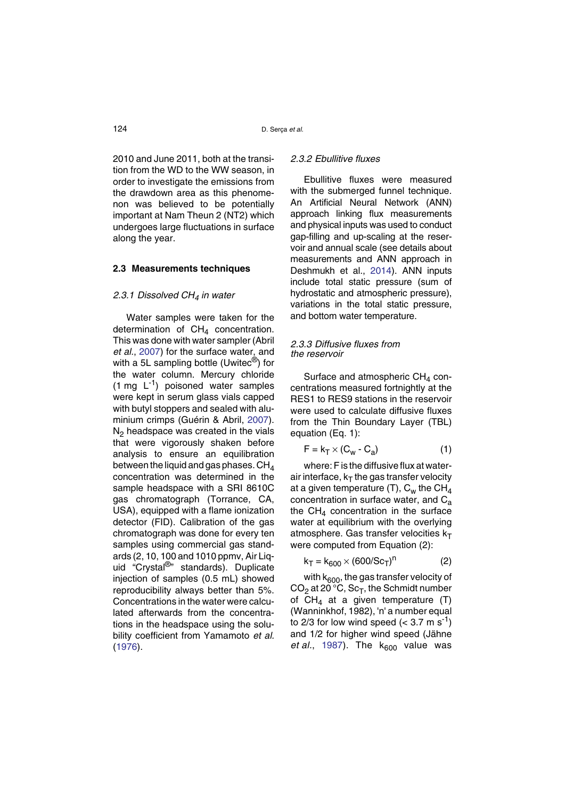2010 and June 2011, both at the transition from the WD to the WW season, in order to investigate the emissions from the drawdown area as this phenomenon was believed to be potentially important at Nam Theun 2 (NT2) which undergoes large fluctuations in surface along the year.

#### **2.3 Measurements techniques**

#### *2.3.1 Dissolved CH4 in water*

Water samples were taken for the determination of  $CH<sub>4</sub>$  concentration. This was done with water sampler (Abril *et al.*, 20[0](#page-24-2)7) for the surface water, and with a 5L sampling bottle (Uwitec $<sup>®</sup>$ ) for</sup> the water column. Mercury chloride  $(1 \text{ mg } L^{-1})$  poisoned water samples were kept in serum glass vials capped with butyl stoppers and sealed with aluminium crimps (Guérin & Abril, 20[0](#page-26-3)7). N2 headspace was created in the vials that were vigorously shaken before analysis to ensure an equilibration between the liquid and gas phases.  $CH<sub>4</sub>$ concentration was determined in the sample headspace with a SRI 8610C gas chromatograph (Torrance, CA, USA), equipped with a flame ionization detector (FID). Calibration of the gas chromatograph was done for every ten samples using commercial gas standards (2, 10, 100 and 1010 ppmv, Air Liquid "Crystal<sup>®</sup>" standards). Duplicate injection of samples (0.5 mL) showed reproducibility always better than 5%. Concentrations in the water were calculated afterwards from the concentrations in the headspace using the solubility coefficient from Yamamoto *et al.* (1[97](#page-27-7)6).

## *2.3.2 Ebullitive fluxes*

Ebullitive fluxes were measured with the submerged funnel technique. An Artificial Neural Network (ANN) approach linking flux measurements and physical inputs was used to conduct gap-filling and up-scaling at the reservoir and annual scale (see details about measurements and ANN approach in Deshmukh et al., 20[1](#page-25-6)4). ANN inputs include total static pressure (sum of hydrostatic and atmospheric pressure), variations in the total static pressure, and bottom water temperature.

#### *2.3.3 Diffusive fluxes from the reservoir*

Surface and atmospheric  $CH<sub>4</sub>$  concentrations measured fortnightly at the RES1 to RES9 stations in the reservoir were used to calculate diffusive fluxes from the Thin Boundary Layer (TBL) equation (Eq. 1):

$$
F = k_T \times (C_w - C_a)
$$
 (1)

where: F is the diffusive flux at waterair interface,  $k_T$  the gas transfer velocity at a given temperature (T),  $C_w$  the CH<sub>4</sub> concentration in surface water, and  $C_{a}$ the  $CH<sub>4</sub>$  concentration in the surface water at equilibrium with the overlying atmosphere. Gas transfer velocities  $k_T$ were computed from Equation (2):

$$
k_T = k_{600} \times (600/\text{Sc}_T)^n \tag{2}
$$

with  $k_{600}$ , the gas transfer velocity of  $CO<sub>2</sub>$  at 20 °C, Sc<sub>T</sub>, the Schmidt number of  $CH_4$  at a given temperature (T) (Wanninkhof, 1982), 'n' a number equal to 2/3 for low wind speed  $( $3.7 \text{ m s}^{-1}$ )$ and 1/2 for higher wind speed (Jähne *et al.*, 1[98](#page-26-8)7). The  $k_{600}$  value was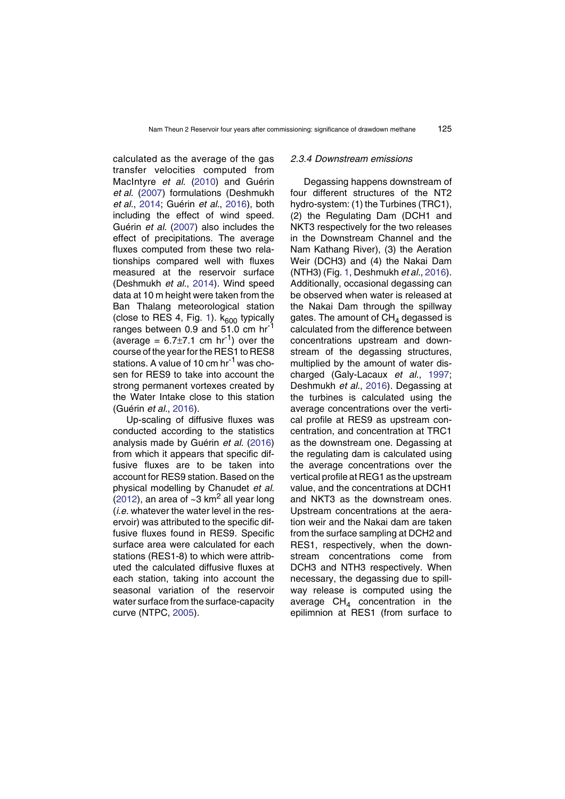calculated as the average of the gas transfer velocities computed from MacIntyre *et al*. (2[01](#page-26-9)0) and Guérin *et al.* (20[0](#page-26-10)7) formulations (Deshmukh *et al.*, 2[01](#page-25-6)4; Guérin *et al.*, 20[1](#page-26-11)6), both including the effect of wind speed. Guérin *et al.* (2[00](#page-26-10)7) also includes the effect of precipitations. The average fluxes computed from these two relationships compared well with fluxes measured at the reservoir surface (Deshmukh *et al.*, 2[01](#page-25-6)4). Wind speed data at 10 m height were taken from the Ban Thalang meteorological station (close to RES 4, Fig. [1](#page-4-0)).  $k_{600}$  typically ranges between 0.9 and 51.0 cm hr<sup>-1</sup> (average =  $6.7\pm7.1$  cm hr<sup>-1</sup>) over the course of the year for the RES1 to RES8 stations. A value of 10 cm hr<sup>-1</sup> was chosen for RES9 to take into account the strong permanent vortexes created by the Water Intake close to this station (Guérin *et al.*, 2[01](#page-26-11)6).

Up-scaling of diffusive fluxes was conducted according to the statistics analysis made by Guérin *et al.* (20[1](#page-26-11)6) from which it appears that specific diffusive fluxes are to be taken into account for RES9 station. Based on the physical modelling by Chanudet *et al.* (2[01](#page-25-3)2), an area of  $\sim$ 3 km<sup>2</sup> all year long (*i.e.* whatever the water level in the reservoir) was attributed to the specific diffusive fluxes found in RES9. Specific surface area were calculated for each stations (RES1-8) to which were attributed the calculated diffusive fluxes at each station, taking into account the seasonal variation of the reservoir water surface from the surface-capacity curve (NTPC, 2[00](#page-26-7)5).

#### *2.3.4 Downstream emissions*

Degassing happens downstream of four different structures of the NT2 hydro-system: (1) the Turbines (TRC1), (2) the Regulating Dam (DCH1 and NKT3 respectively for the two releases in the Downstream Channel and the Nam Kathang River), (3) the Aeration Weir (DCH3) and (4) the Nakai Dam (NTH3) (Fig. [1](#page-4-0), Deshmukh *et al.*, 2[01](#page-25-6)6). Additionally, occasional degassing can be observed when water is released at the Nakai Dam through the spillway gates. The amount of  $CH<sub>4</sub>$  degassed is calculated from the difference between concentrations upstream and downstream of the degassing structures, multiplied by the amount of water discharged (Galy-Lacaux *et al.*, 1[99](#page-25-5)7; Deshmukh *et al.*, 20[1](#page-25-6)6). Degassing at the turbines is calculated using the average concentrations over the vertical profile at RES9 as upstream concentration, and concentration at TRC1 as the downstream one. Degassing at the regulating dam is calculated using the average concentrations over the vertical profile at REG1 as the upstream value, and the concentrations at DCH1 and NKT3 as the downstream ones. Upstream concentrations at the aeration weir and the Nakai dam are taken from the surface sampling at DCH2 and RES1, respectively, when the downstream concentrations come from DCH3 and NTH3 respectively. When necessary, the degassing due to spillway release is computed using the average  $CH<sub>4</sub>$  concentration in the epilimnion at RES1 (from surface to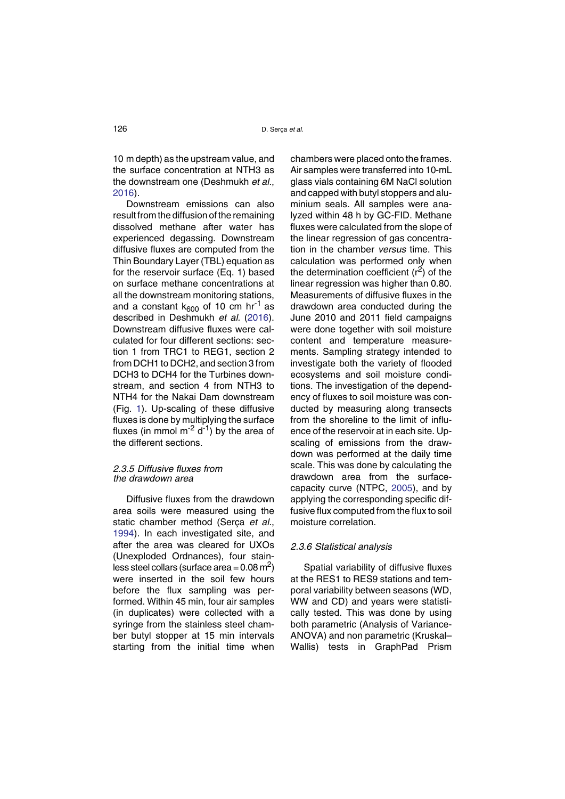10 m depth) as the upstream value, and the surface concentration at NTH3 as the downstream one (Deshmukh *et al.*, 2[01](#page-25-6)6).

Downstream emissions can also result from the diffusion of the remaining dissolved methane after water has experienced degassing. Downstream diffusive fluxes are computed from the Thin Boundary Layer (TBL) equation as for the reservoir surface (Eq. 1) based on surface methane concentrations at all the downstream monitoring stations, and a constant  $k_{600}$  of 10 cm hr<sup>-1</sup> as described in Deshmukh *et al.* (20[1](#page-25-6)6). Downstream diffusive fluxes were calculated for four different sections: section 1 from TRC1 to REG1, section 2 from DCH1 to DCH2, and section 3 from DCH3 to DCH4 for the Turbines downstream, and section 4 from NTH3 to NTH4 for the Nakai Dam downstream (Fig. [1](#page-4-0)). Up-scaling of these diffusive fluxes is done by multiplying the surface fluxes (in mmol  $m^{-2}$  d<sup>-1</sup>) by the area of the different sections.

#### *2.3.5 Diffusive fluxes from the drawdown area*

Diffusive fluxes from the drawdown area soils were measured using the static chamber method (Serça *et al.*, 1[99](#page-26-12)4). In each investigated site, and after the area was cleared for UXOs (Unexploded Ordnances), four stainless steel collars (surface area =  $0.08 \text{ m}^2$ ) were inserted in the soil few hours before the flux sampling was performed. Within 45 min, four air samples (in duplicates) were collected with a syringe from the stainless steel chamber butyl stopper at 15 min intervals starting from the initial time when

chambers were placed onto the frames. Air samples were transferred into 10-mL glass vials containing 6M NaCl solution and capped with butyl stoppers and aluminium seals. All samples were analyzed within 48 h by GC-FID. Methane fluxes were calculated from the slope of the linear regression of gas concentration in the chamber *versus* time. This calculation was performed only when the determination coefficient  $(r^2)$  of the linear regression was higher than 0.80. Measurements of diffusive fluxes in the drawdown area conducted during the June 2010 and 2011 field campaigns were done together with soil moisture content and temperature measurements. Sampling strategy intended to investigate both the variety of flooded ecosystems and soil moisture conditions. The investigation of the dependency of fluxes to soil moisture was conducted by measuring along transects from the shoreline to the limit of influence of the reservoir at in each site. Upscaling of emissions from the drawdown was performed at the daily time scale. This was done by calculating the drawdown area from the surfacecapacity curve (NTPC, 20[0](#page-26-7)5), and by applying the corresponding specific diffusive flux computed from the flux to soil moisture correlation.

## *2.3.6 Statistical analysis*

Spatial variability of diffusive fluxes at the RES1 to RES9 stations and temporal variability between seasons (WD, WW and CD) and years were statistically tested. This was done by using both parametric (Analysis of Variance-ANOVA) and non parametric (Kruskal– Wallis) tests in GraphPad Prism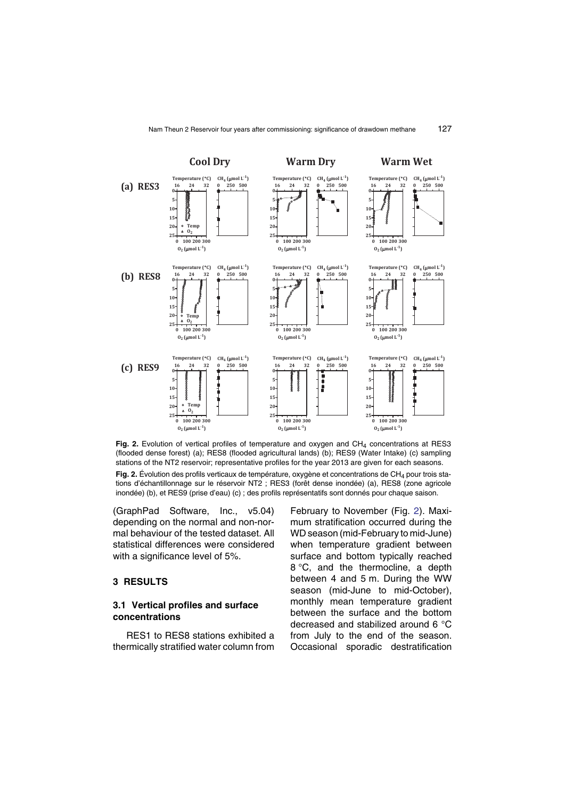

<span id="page-8-0"></span>Fig. 2. Evolution of vertical profiles of temperature and oxygen and CH<sub>4</sub> concentrations at RES3 (flooded dense forest) (a); RES8 (flooded agricultural lands) (b); RES9 (Water Intake) (c) sampling stations of the NT2 reservoir; representative profiles for the year 2013 are given for each seasons. **Fig. 2.** Évolution des profils verticaux de température, oxygène et concentrations de CH<sub>4</sub> pour trois stations d'échantillonnage sur le réservoir NT2 ; RES3 (forêt dense inondée) (a), RES8 (zone agricole inondée) (b), et RES9 (prise d'eau) (c) ; des profils représentatifs sont donnés pour chaque saison.

(GraphPad Software, Inc., v5.04) depending on the normal and non-normal behaviour of the tested dataset. All statistical differences were considered with a significance level of 5%.

## **3 RESULTS**

## **3.1 Vertical profiles and surface concentrations**

RES1 to RES8 stations exhibited a thermically stratified water column from February to November (Fig. [2](#page-8-0)). Maximum stratification occurred during the WD season (mid-February to mid-June) when temperature gradient between surface and bottom typically reached 8 °C, and the thermocline, a depth between 4 and 5 m. During the WW season (mid-June to mid-October), monthly mean temperature gradient between the surface and the bottom decreased and stabilized around 6 °C from July to the end of the season. Occasional sporadic destratification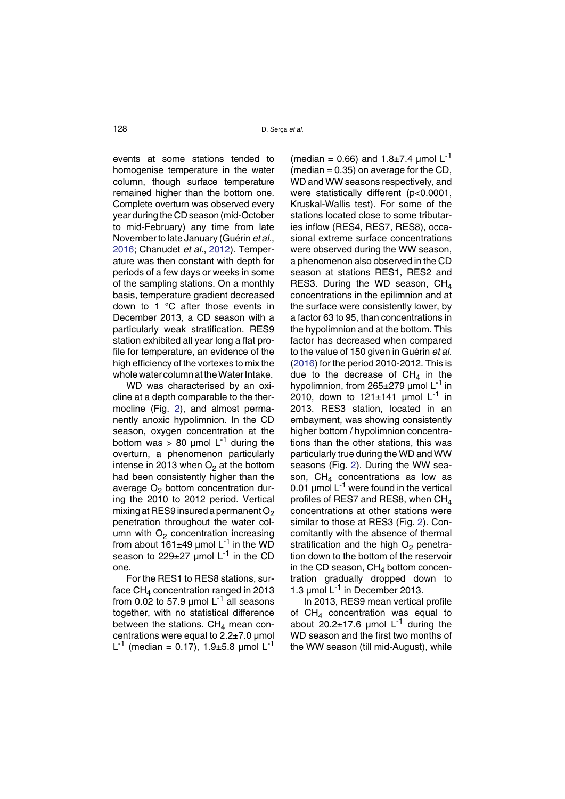events at some stations tended to homogenise temperature in the water column, though surface temperature remained higher than the bottom one. Complete overturn was observed every year during the CD season (mid-October to mid-February) any time from late November to late January (Guérin *et al.*, 2[01](#page-26-11)6; Chanudet *et al.*, 2[01](#page-25-3)2). Temperature was then constant with depth for periods of a few days or weeks in some of the sampling stations. On a monthly basis, temperature gradient decreased down to 1 °C after those events in December 2013, a CD season with a particularly weak stratification. RES9 station exhibited all year long a flat profile for temperature, an evidence of the high efficiency of the vortexes to mix the whole water column at the Water Intake.

WD was characterised by an oxicline at a depth comparable to the thermocline (Fig. [2](#page-8-0)), and almost permanently anoxic hypolimnion. In the CD season, oxygen concentration at the bottom was  $> 80$  µmol L<sup>-1</sup> during the overturn, a phenomenon particularly intense in 2013 when  $O<sub>2</sub>$  at the bottom had been consistently higher than the average  $O<sub>2</sub>$  bottom concentration during the 2010 to 2012 period. Vertical mixing at RES9 insured a permanent  $O<sub>2</sub>$ penetration throughout the water column with  $O<sub>2</sub>$  concentration increasing from about  $161\pm49$  µmol L<sup>-1</sup> in the WD season to  $229\pm27$  umol L<sup>-1</sup> in the CD one.

For the RES1 to RES8 stations, surface  $CH<sub>4</sub>$  concentration ranged in 2013 from 0.02 to 57.9 µmol  $L^{-1}$  all seasons together, with no statistical difference between the stations.  $CH<sub>4</sub>$  mean concentrations were equal to  $2.2\pm7.0$  µmol L<sup>-1</sup> (median = 0.17), 1.9 $\pm$ 5.8 µmol L<sup>-1</sup>

(median = 0.66) and  $1.8 \pm 7.4$  µmol L<sup>-1</sup> (median  $= 0.35$ ) on average for the CD, WD and WW seasons respectively, and were statistically different (p<0.0001, Kruskal-Wallis test). For some of the stations located close to some tributaries inflow (RES4, RES7, RES8), occasional extreme surface concentrations were observed during the WW season, a phenomenon also observed in the CD season at stations RES1, RES2 and RES3. During the WD season,  $CH<sub>4</sub>$ concentrations in the epilimnion and at the surface were consistently lower, by a factor 63 to 95, than concentrations in the hypolimnion and at the bottom. This factor has decreased when compared to the value of 150 given in Guérin *et al.* (20[1](#page-26-11)6) for the period 2010-2012. This is due to the decrease of  $CH<sub>4</sub>$  in the hypolimnion, from  $265\pm279$  µmol L<sup>-1</sup> in 2010, down to  $121 \pm 141$  µmol L<sup>-1</sup> in 2013. RES3 station, located in an embayment, was showing consistently higher bottom / hypolimnion concentrations than the other stations, this was particularly true during the WD and WW seasons (Fig. [2](#page-8-0)). During the WW season,  $CH<sub>A</sub>$  concentrations as low as 0.01  $\mu$ mol L<sup>-1</sup> were found in the vertical profiles of RES7 and RES8, when  $CH<sub>A</sub>$ concentrations at other stations were similar to those at RES3 (Fig. [2](#page-8-0)). Concomitantly with the absence of thermal stratification and the high  $O<sub>2</sub>$  penetration down to the bottom of the reservoir in the CD season,  $CH<sub>4</sub>$  bottom concentration gradually dropped down to 1.3  $\mu$ mol L<sup>-1</sup> in December 2013.

In 2013, RES9 mean vertical profile of  $CH<sub>4</sub>$  concentration was equal to about  $20.2 \pm 17.6$  µmol L<sup>-1</sup> during the WD season and the first two months of the WW season (till mid-August), while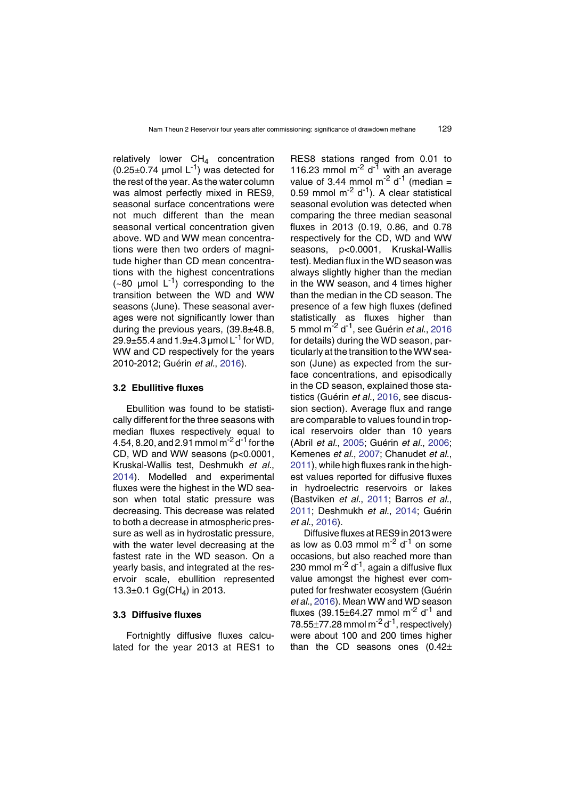relatively lower  $CH<sub>4</sub>$  concentration  $(0.25\pm0.74 \mu$ mol L<sup>-1</sup>) was detected for the rest of the year. As the water column was almost perfectly mixed in RES9, seasonal surface concentrations were not much different than the mean seasonal vertical concentration given above. WD and WW mean concentrations were then two orders of magnitude higher than CD mean concentrations with the highest concentrations  $(-80 \text{ \mu} \text{mol L}^{-1})$  corresponding to the transition between the WD and WW seasons (June). These seasonal averages were not significantly lower than during the previous years, (39.8±48.8, 29.9 $\pm$ 55.4 and 1.9 $\pm$ 4.3 µmol L<sup>-1</sup> for WD, WW and CD respectively for the years 2010-2012; Guérin *et al.*, 2[01](#page-26-11)6).

## **3.2 Ebullitive fluxes**

Ebullition was found to be statistically different for the three seasons with median fluxes respectively equal to 4.54, 8.20, and 2.91 mmol m<sup>-2</sup> d<sup>-1</sup> for the CD, WD and WW seasons (p<0.0001, Kruskal-Wallis test, Deshmukh *et al.*, 2[01](#page-25-6)4). Modelled and experimental fluxes were the highest in the WD season when total static pressure was decreasing. This decrease was related to both a decrease in atmospheric pressure as well as in hydrostatic pressure, with the water level decreasing at the fastest rate in the WD season. On a yearly basis, and integrated at the reservoir scale, ebullition represented  $13.3\pm0.1$  Gg(CH<sub>4</sub>) in 2013.

## **3.3 Diffusive fluxes**

Fortnightly diffusive fluxes calculated for the year 2013 at RES1 to RES8 stations ranged from 0.01 to 116.23 mmol  $m^{-2}$  d<sup>-1</sup> with an average value of 3.44 mmol  $m^{-2}$  d<sup>-1</sup> (median = 0.59 mmol  $m<sup>-2</sup> d<sup>-1</sup>$ ). A clear statistical seasonal evolution was detected when comparing the three median seasonal fluxes in 2013 (0.19, 0.86, and 0.78 respectively for the CD, WD and WW seasons, p<0.0001, Kruskal-Wallis test). Median flux in the WD season was always slightly higher than the median in the WW season, and 4 times higher than the median in the CD season. The presence of a few high fluxes (defined statistically as fluxes higher than 5 mmol m-2 d-1, see Guérin *et al*., 2[01](#page-26-11)6 for details) during the WD season, particularly at the transition to theWW season (June) as expected from the surface concentrations, and episodically in the CD season, explained those statistics (Guérin *et al.*, 20[1](#page-26-11)6, see discussion section). Average flux and range are comparable to values found in tropical reservoirs older than 10 years (Abril *et al.*, 20[0](#page-24-1)5; Guérin *et al.*, 2[00](#page-26-3)6; Kemenes *et al.*, 2[00](#page-26-5)7; Chanudet *et al.*, 2[01](#page-25-3)1), while high fluxes rank in the highest values reported for diffusive fluxes in hydroelectric reservoirs or lakes (Bastviken *et al.*, 2[01](#page-25-10)1; Barros *et al.*, 2[01](#page-24-0)1; Deshmukh *et al.*, 2[01](#page-25-6)4; Guérin *et al.*, 2[01](#page-26-11)6).

Diffusive fluxes at RES9 in 2013 were as low as 0.03 mmol  $\text{m}^2$  d<sup>-1</sup> on some occasions, but also reached more than 230 mmol  $m^{-2}$  d<sup>-1</sup>, again a diffusive flux value amongst the highest ever computed for freshwater ecosystem (Guérin *et al.*, 2[01](#page-26-11)6). Mean WW and WD season fluxes (39.15 $\pm$ 64.27 mmol m<sup>-2</sup> d<sup>-1</sup> and 78.55 $\pm$ 77.28 mmol m<sup>-2</sup> d<sup>-1</sup>, respectively) were about 100 and 200 times higher than the CD seasons ones (0.42±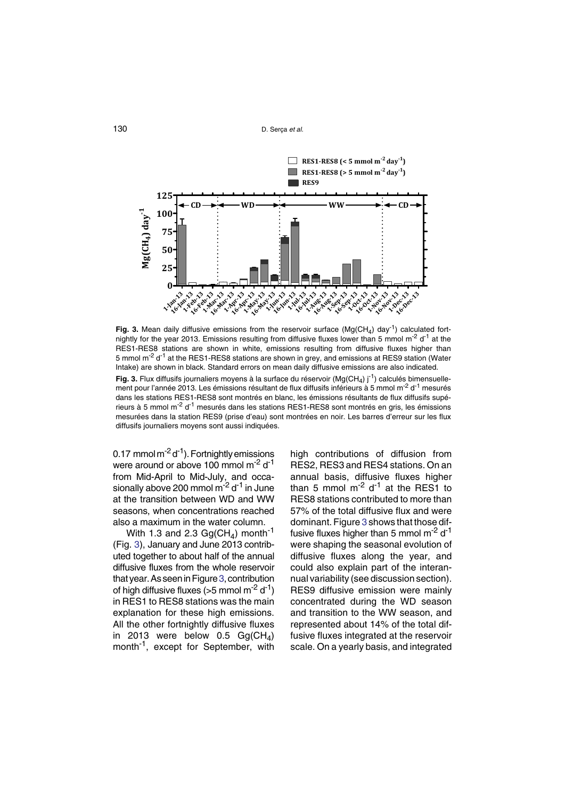

<span id="page-11-0"></span>Fig. 3. Mean daily diffusive emissions from the reservoir surface (Mg(CH<sub>4</sub>) day<sup>-1</sup>) calculated fortnightly for the year 2013. Emissions resulting from diffusive fluxes lower than 5 mmol m<sup>-2</sup> d<sup>-1</sup> at the RES1-RES8 stations are shown in white, emissions resulting from diffusive fluxes higher than 5 mmol m<sup>-2</sup> d<sup>-1</sup> at the RES1-RES8 stations are shown in grey, and emissions at RES9 station (Water Intake) are shown in black. Standard errors on mean daily diffusive emissions are also indicated. **Fig. 3.** Flux diffusifs journaliers moyens à la surface du réservoir (Mg(CH<sub>4</sub>) j<sup>-1</sup>) calculés bimensuellement pour l'année 2013. Les émissions résultant de flux diffusifs inférieurs à 5 mmol m<sup>-2</sup> d<sup>-1</sup> mesurés dans les stations RES1-RES8 sont montrés en blanc, les émissions résultants de flux diffusifs supérieurs à 5 mmol m<sup>-2</sup> d<sup>-1</sup> mesurés dans les stations RES1-RES8 sont montrés en gris, les émissions mesurées dans la station RES9 (prise d'eau) sont montrées en noir. Les barres d'erreur sur les flux diffusifs journaliers moyens sont aussi indiquées.

0.17 mmol  $m^{-2} d^{-1}$ ). Fortnightly emissions were around or above 100 mmol m<sup>-2</sup> d<sup>-1</sup> from Mid-April to Mid-July, and occasionally above 200 mmol  $m<sup>-2</sup> d<sup>-1</sup>$  in June at the transition between WD and WW seasons, when concentrations reached also a maximum in the water column.

With 1.3 and 2.3  $Gg(CH_4)$  month<sup>-1</sup> (Fig. [3](#page-11-0)), January and June 2013 contributed together to about half of the annual diffusive fluxes from the whole reservoir that year. As seen in Figure [3](#page-11-0), contribution of high diffusive fluxes ( $>5$  mmol m<sup>-2</sup> d<sup>-1</sup>) in RES1 to RES8 stations was the main explanation for these high emissions. All the other fortnightly diffusive fluxes in 2013 were below 0.5  $Gg(CH<sub>4</sub>)$ month<sup>-1</sup>, except for September, with

high contributions of diffusion from RES2, RES3 and RES4 stations. On an annual basis, diffusive fluxes higher than 5 mmol  $m<sup>-2</sup> d<sup>-1</sup>$  at the RES1 to RES8 stations contributed to more than 57% of the total diffusive flux and were dominant. Figure [3](#page-11-0) shows that those diffusive fluxes higher than 5 mmol  $m<sup>-2</sup> d<sup>-1</sup>$ were shaping the seasonal evolution of diffusive fluxes along the year, and could also explain part of the interannual variability (see discussion section). RES9 diffusive emission were mainly concentrated during the WD season and transition to the WW season, and represented about 14% of the total diffusive fluxes integrated at the reservoir scale. On a yearly basis, and integrated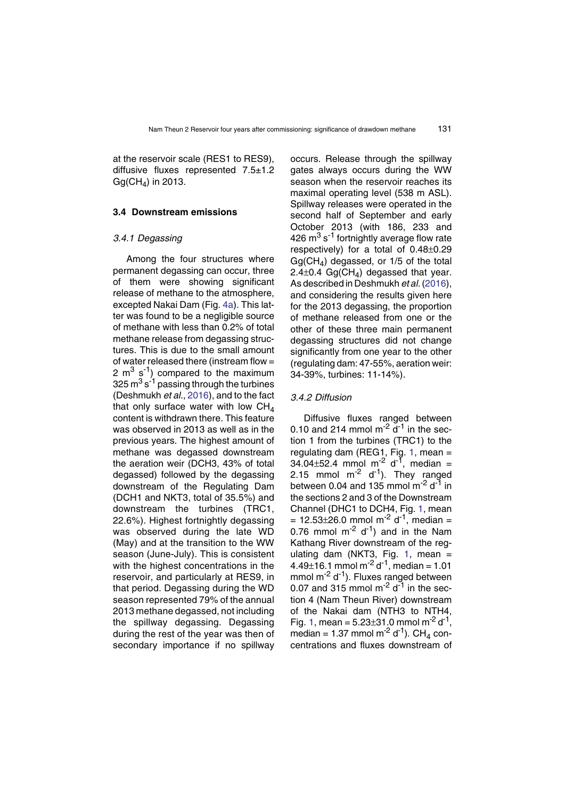at the reservoir scale (RES1 to RES9), diffusive fluxes represented 7.5±1.2  $Gg(CH_4)$  in 2013.

## **3.4 Downstream emissions**

#### *3.4.1 Degassing*

Among the four structures where permanent degassing can occur, three of them were showing significant release of methane to the atmosphere, excepted Nakai Dam (Fig. [4](#page-13-0)a). This latter was found to be a negligible source of methane with less than 0.2% of total methane release from degassing structures. This is due to the small amount of water released there (instream flow = 2  $m^3$  s<sup>-1</sup>) compared to the maximum 325  $\text{m}^3\text{ s}^{-1}$  passing through the turbines (Deshmukh *et al.*, 20[1](#page-25-6)6), and to the fact that only surface water with low  $CH<sub>4</sub>$ content is withdrawn there. This feature was observed in 2013 as well as in the previous years. The highest amount of methane was degassed downstream the aeration weir (DCH3, 43% of total degassed) followed by the degassing downstream of the Regulating Dam (DCH1 and NKT3, total of 35.5%) and downstream the turbines (TRC1, 22.6%). Highest fortnightly degassing was observed during the late WD (May) and at the transition to the WW season (June-July). This is consistent with the highest concentrations in the reservoir, and particularly at RES9, in that period. Degassing during the WD season represented 79% of the annual 2013 methane degassed, not including the spillway degassing. Degassing during the rest of the year was then of secondary importance if no spillway

occurs. Release through the spillway gates always occurs during the WW season when the reservoir reaches its maximal operating level (538 m ASL). Spillway releases were operated in the second half of September and early October 2013 (with 186, 233 and 426  $\mathrm{m}^3\,\mathrm{s}^{-1}$  fortnightly average flow rate respectively) for a total of 0.48±0.29  $Gg(CH<sub>A</sub>)$  degassed, or 1/5 of the total 2.4 $\pm$ 0.4 Gg(CH<sub>4</sub>) degassed that year. As described in Deshmukh *et al.*(2[01](#page-25-6)6), and considering the results given here for the 2013 degassing, the proportion of methane released from one or the other of these three main permanent degassing structures did not change significantly from one year to the other (regulating dam: 47-55%, aeration weir: 34-39%, turbines: 11-14%).

#### *3.4.2 Diffusion*

Diffusive fluxes ranged between 0.10 and 214 mmol  $\text{m}^{-2}$  d<sup>-1</sup> in the section 1 from the turbines (TRC1) to the regulating dam (REG[1](#page-4-0), Fig. 1, mean  $=$ 34.04 $\pm$ 52.4 mmol m<sup>-2</sup> d<sup>-1</sup>, median = 2.15 mmol  $m^{-2}$  d<sup>-1</sup>). They ranged between 0.04 and 135 mmol  $\text{m}^2$  d<sup>-1</sup> in the sections 2 and 3 of the Downstream Channel (DHC1 to DCH4, Fig. [1](#page-4-0), mean  $= 12.53 \pm 26.0$  mmol m<sup>-2</sup> d<sup>-1</sup>, median = 0.76 mmol  $m^{-2}$  d<sup>-1</sup>) and in the Nam Kathang River downstream of the reg-ulating dam (NKT3, Fig. [1](#page-4-0), mean  $=$ 4.49 $\pm$ 16.1 mmol m<sup>-2</sup> d<sup>-1</sup>, median = 1.01 mmol  $m^{-2}$  d<sup>-1</sup>). Fluxes ranged between 0.07 and 315 mmol  $\text{m}^2$  d<sup>-1</sup> in the section 4 (Nam Theun River) downstream of the Nakai dam (NTH3 to NTH4, Fig. [1](#page-4-0), mean =  $5.23\pm31.0$  mmol m<sup>-2</sup> d<sup>-1</sup>, median =  $1.37$  mmol m<sup>-2</sup> d<sup>-1</sup>). CH<sub>4</sub> concentrations and fluxes downstream of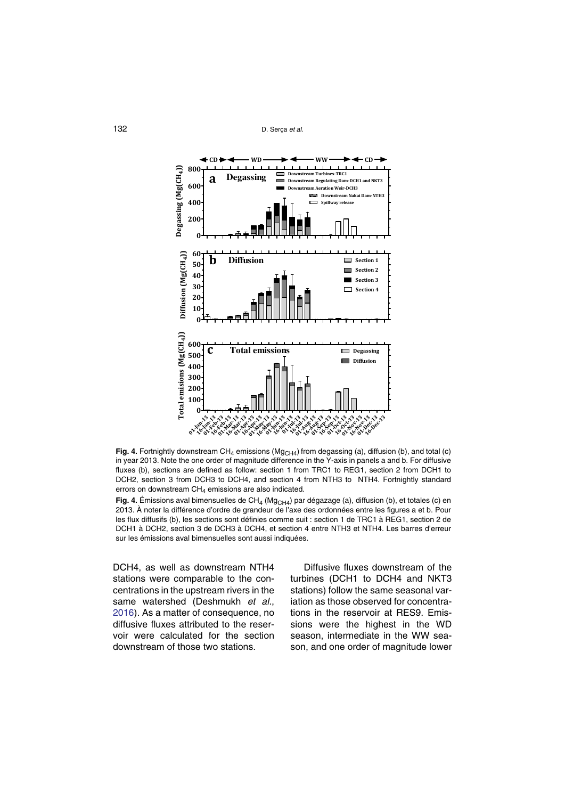132 D. Serça *et al.*



<span id="page-13-0"></span>Fig. 4. Fortnightly downstream CH<sub>4</sub> emissions (Mg<sub>CH4</sub>) from degassing (a), diffusion (b), and total (c) in year 2013. Note the one order of magnitude difference in the Y-axis in panels a and b. For diffusive fluxes (b), sections are defined as follow: section 1 from TRC1 to REG1, section 2 from DCH1 to DCH2, section 3 from DCH3 to DCH4, and section 4 from NTH3 to NTH4. Fortnightly standard errors on downstream  $CH<sub>4</sub>$  emissions are also indicated.

<span id="page-13-1"></span>**Fig. 4.** Émissions aval bimensuelles de CH<sub>4</sub> (Mg<sub>CH4</sub>) par dégazage (a), diffusion (b), et totales (c) en 2013. À noter la différence d'ordre de grandeur de l'axe des ordonnées entre les figures a et b. Pour les flux diffusifs (b), les sections sont définies comme suit : section 1 de TRC1 à REG1, section 2 de DCH1 à DCH2, section 3 de DCH3 à DCH4, et section 4 entre NTH3 et NTH4. Les barres d'erreur sur les émissions aval bimensuelles sont aussi indiquées.

DCH4, as well as downstream NTH4 stations were comparable to the concentrations in the upstream rivers in the same watershed (Deshmukh *et al.*, 2[01](#page-25-6)6). As a matter of consequence, no diffusive fluxes attributed to the reservoir were calculated for the section downstream of those two stations.

Diffusive fluxes downstream of the turbines (DCH1 to DCH4 and NKT3 stations) follow the same seasonal variation as those observed for concentrations in the reservoir at RES9. Emissions were the highest in the WD season, intermediate in the WW season, and one order of magnitude lower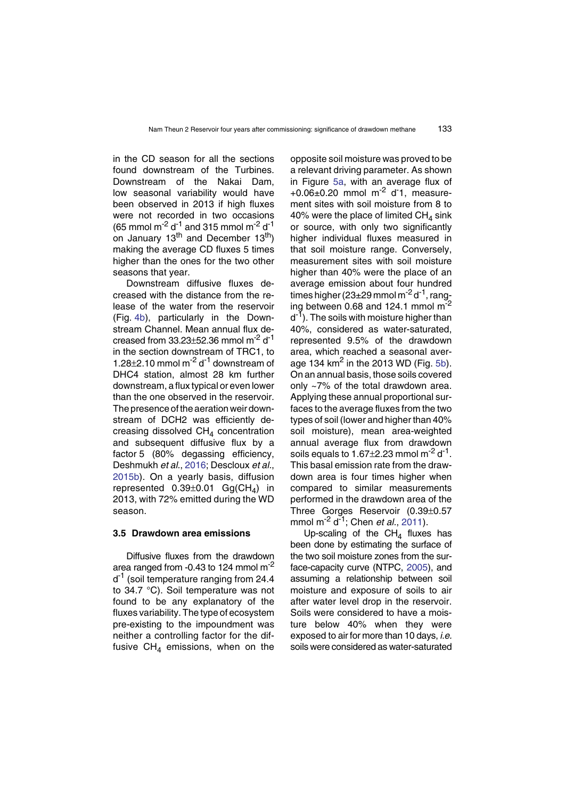in the CD season for all the sections found downstream of the Turbines. Downstream of the Nakai Dam, low seasonal variability would have been observed in 2013 if high fluxes were not recorded in two occasions (65 mmol m<sup>-2</sup> d<sup>-1</sup> and 315 mmol m<sup>-2</sup> d<sup>-1</sup> on January  $13<sup>th</sup>$  and December  $13<sup>th</sup>$ ) making the average CD fluxes 5 times higher than the ones for the two other seasons that year.

Downstream diffusive fluxes decreased with the distance from the release of the water from the reservoir (Fig. [4](#page-13-1)b), particularly in the Downstream Channel. Mean annual flux decreased from  $33.23\pm52.36$  mmol m<sup>-2</sup> d<sup>-1</sup> in the section downstream of TRC1, to 1.28 $\pm$ 2.10 mmol m<sup>-2</sup> d<sup>-1</sup> downstream of DHC4 station, almost 28 km further downstream, a flux typical or even lower than the one observed in the reservoir. The presence of the aeration weir downstream of DCH2 was efficiently decreasing dissolved  $CH<sub>4</sub>$  concentration and subsequent diffusive flux by a factor 5 (80% degassing efficiency, Deshmukh *et al.*, 2[01](#page-25-6)6; Descloux *et al.*, 2[01](#page-25-6)5b). On a yearly basis, diffusion represented  $0.39\pm0.01$  Gg(CH<sub>4</sub>) in 2013, with 72% emitted during the WD season.

## **3.5 Drawdown area emissions**

Diffusive fluxes from the drawdown area ranged from  $-0.43$  to 124 mmol m<sup>-2</sup>  $d^{-1}$  (soil temperature ranging from 24.4 to 34.7 °C). Soil temperature was not found to be any explanatory of the fluxes variability. The type of ecosystem pre-existing to the impoundment was neither a controlling factor for the diffusive  $CH<sub>4</sub>$  emissions, when on the

opposite soil moisture was proved to be a relevant driving parameter. As shown in Figure [5](#page-15-0)a, with an average flux of  $+0.06\pm0.20$  mmol m<sup>-2</sup> d<sup>-</sup>1, measurement sites with soil moisture from 8 to 40% were the place of limited  $CH<sub>4</sub>$  sink or source, with only two significantly higher individual fluxes measured in that soil moisture range. Conversely, measurement sites with soil moisture higher than 40% were the place of an average emission about four hundred times higher ( $23\pm29$  mmol m<sup>-2</sup> d<sup>-1</sup>, ranging between 0.68 and 124.1 mmol m<sup>-2</sup>  $d^{-1}$ ). The soils with moisture higher than 40%, considered as water-saturated, represented 9.5% of the drawdown area, which reached a seasonal average 134  $km<sup>2</sup>$  in the 2013 WD (Fig. [5](#page-15-1)b). On an annual basis, those soils covered only ~7% of the total drawdown area. Applying these annual proportional surfaces to the average fluxes from the two types of soil (lower and higher than 40% soil moisture), mean area-weighted annual average flux from drawdown soils equals to  $1.67\pm2.23$  mmol m<sup>-2</sup> d<sup>-1</sup>. This basal emission rate from the drawdown area is four times higher when compared to similar measurements performed in the drawdown area of the Three Gorges Reservoir (0.39±0.57 mmol m-2 d-1; Chen *et al.*, 2[01](#page-25-7)1).

Up-scaling of the  $CH<sub>4</sub>$  fluxes has been done by estimating the surface of the two soil moisture zones from the sur-face-capacity curve (NTPC, 2[0](#page-26-7)05), and assuming a relationship between soil moisture and exposure of soils to air after water level drop in the reservoir. Soils were considered to have a moisture below 40% when they were exposed to air for more than 10 days, *i.e.* soils were considered as water-saturated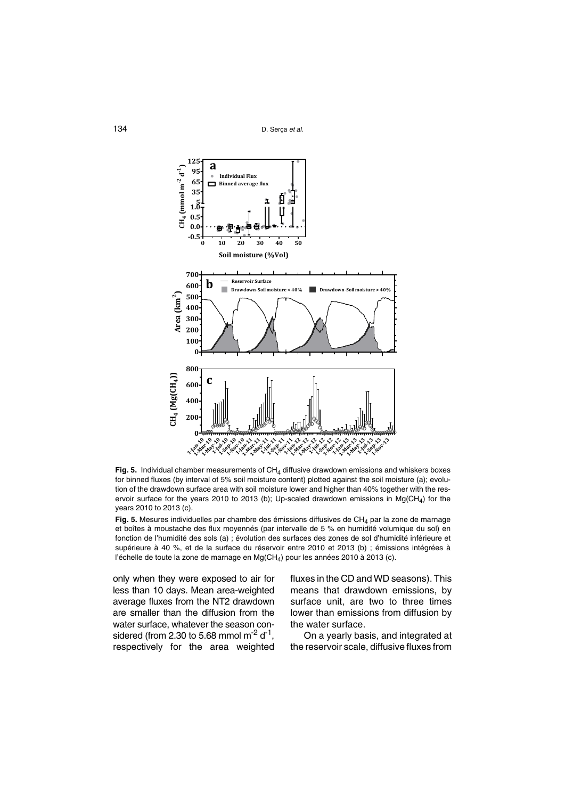

<span id="page-15-0"></span>Fig. 5. Individual chamber measurements of CH<sub>4</sub> diffusive drawdown emissions and whiskers boxes for binned fluxes (by interval of 5% soil moisture content) plotted against the soil moisture (a); evolution of the drawdown surface area with soil moisture lower and higher than 40% together with the reservoir surface for the years 2010 to 2013 (b); Up-scaled drawdown emissions in Mg(CH<sub>4</sub>) for the years 2010 to 2013 (c).

<span id="page-15-1"></span>Fig. 5. Mesures individuelles par chambre des émissions diffusives de CH<sub>4</sub> par la zone de marnage et boîtes à moustache des flux moyennés (par intervalle de 5 % en humidité volumique du sol) en fonction de l'humidité des sols (a) ; évolution des surfaces des zones de sol d'humidité inférieure et supérieure à 40 %, et de la surface du réservoir entre 2010 et 2013 (b) ; émissions intégrées à l'échelle de toute la zone de marnage en  $Mg(CH_4)$  pour les années 2010 à 2013 (c).

only when they were exposed to air for less than 10 days. Mean area-weighted average fluxes from the NT2 drawdown are smaller than the diffusion from the water surface, whatever the season considered (from 2.30 to 5.68 mmol  $\text{m}^2$  d<sup>-1</sup>, respectively for the area weighted fluxes in the CD and WD seasons). This means that drawdown emissions, by surface unit, are two to three times lower than emissions from diffusion by the water surface.

On a yearly basis, and integrated at the reservoir scale, diffusive fluxes from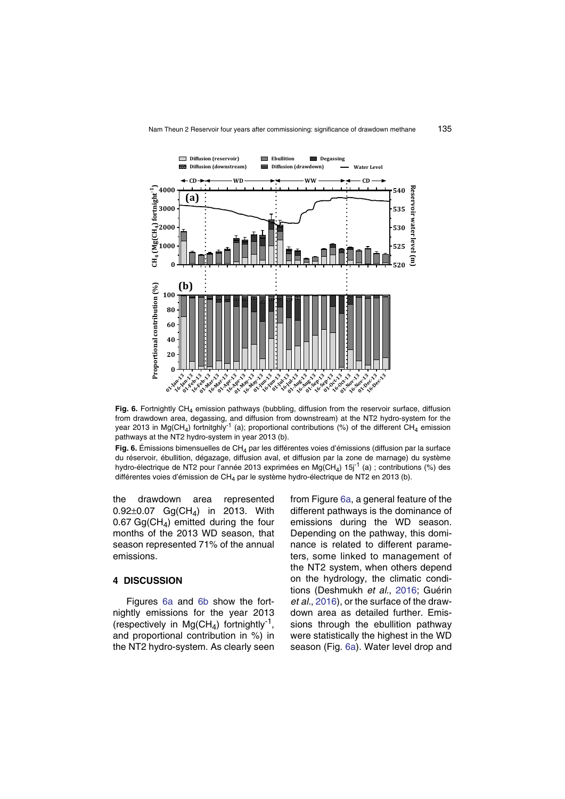

<span id="page-16-0"></span>Fig. 6. Fortnightly CH<sub>4</sub> emission pathways (bubbling, diffusion from the reservoir surface, diffusion from drawdown area, degassing, and diffusion from downstream) at the NT2 hydro-system for the year 2013 in Mg(CH<sub>4</sub>) fortnitghly<sup>-1</sup> (a); proportional contributions (%) of the different CH<sub>4</sub> emission pathways at the NT2 hydro-system in year 2013 (b).

<span id="page-16-1"></span>Fig. 6. Émissions bimensuelles de CH<sub>4</sub> par les différentes voies d'émissions (diffusion par la surface du réservoir, ébullition, dégazage, diffusion aval, et diffusion par la zone de marnage) du système hydro-électrique de NT2 pour l'année 2013 exprimées en Mg(CH<sub>4</sub>) 15j<sup>-1</sup> (a) ; contributions (%) des différentes voies d'émission de CH<sub>4</sub> par le système hydro-électrique de NT2 en 2013 (b).

the drawdown area represented  $0.92\pm0.07$  Gg(CH<sub>A</sub>) in 2013. With 0.67 Gg(CH<sub>4</sub>) emitted during the four months of the 2013 WD season, that season represented 71% of the annual emissions.

## **4 DISCUSSION**

Figures [6](#page-16-0)a and [6](#page-16-1)b show the fortnightly emissions for the year 2013 (respectively in  $Mg(CH_4)$  fortnightly<sup>-1</sup>, and proportional contribution in %) in the NT2 hydro-system. As clearly seen from Figure [6](#page-16-0)a, a general feature of the different pathways is the dominance of emissions during the WD season. Depending on the pathway, this dominance is related to different parameters, some linked to management of the NT2 system, when others depend on the hydrology, the climatic conditions (Deshmukh *et al.*, 2[01](#page-25-6)6; Guérin *et al.*, 20[1](#page-26-11)6), or the surface of the drawdown area as detailed further. Emissions through the ebullition pathway were statistically the highest in the WD season (Fig. [6](#page-16-0)a). Water level drop and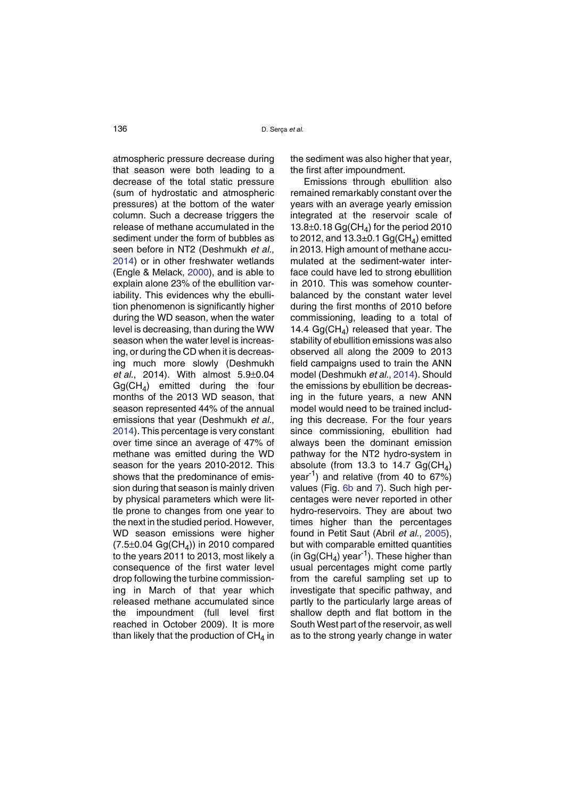atmospheric pressure decrease during that season were both leading to a decrease of the total static pressure (sum of hydrostatic and atmospheric pressures) at the bottom of the water column. Such a decrease triggers the release of methane accumulated in the sediment under the form of bubbles as seen before in NT2 (Deshmukh *et al.*, 2[01](#page-25-1)4) or in other freshwater wetlands (Engle & Melack, 20[0](#page-25-11)0), and is able to explain alone 23% of the ebullition variability. This evidences why the ebullition phenomenon is significantly higher during the WD season, when the water level is decreasing, than during the WW season when the water level is increasing, or during the CD when it is decreasing much more slowly (Deshmukh *et al.*, 2014). With almost 5.9±0.04  $GqCH<sub>4</sub>$ ) emitted during the four months of the 2013 WD season, that season represented 44% of the annual emissions that year (Deshmukh *et al.*, 2[01](#page-25-1)4). This percentage is very constant over time since an average of 47% of methane was emitted during the WD season for the years 2010-2012. This shows that the predominance of emission during that season is mainly driven by physical parameters which were little prone to changes from one year to the next in the studied period. However, WD season emissions were higher  $(7.5 \pm 0.04 \text{ Gg}(\text{CH}_4))$  in 2010 compared to the years 2011 to 2013, most likely a consequence of the first water level drop following the turbine commissioning in March of that year which released methane accumulated since the impoundment (full level first reached in October 2009). It is more than likely that the production of  $CH<sub>4</sub>$  in

the sediment was also higher that year, the first after impoundment.

Emissions through ebullition also remained remarkably constant over the years with an average yearly emission integrated at the reservoir scale of 13.8 $\pm$ 0.18 Gg(CH<sub>A</sub>) for the period 2010 to 2012, and  $13.3\pm0.1$  Gg(CH<sub>4</sub>) emitted in 2013. High amount of methane accumulated at the sediment-water interface could have led to strong ebullition in 2010. This was somehow counterbalanced by the constant water level during the first months of 2010 before commissioning, leading to a total of 14.4  $Ga(CH_A)$  released that year. The stability of ebullition emissions was also observed all along the 2009 to 2013 field campaigns used to train the ANN model (Deshmukh *et al.*, 20[1](#page-25-1)4). Should the emissions by ebullition be decreasing in the future years, a new ANN model would need to be trained including this decrease. For the four years since commissioning, ebullition had always been the dominant emission pathway for the NT2 hydro-system in absolute (from 13.3 to 14.7  $Gq(CH_A)$ ) year-1) and relative (from 40 to 67%) values (Fig. [6](#page-16-1)b and [7](#page-18-0)). Such high percentages were never reported in other hydro-reservoirs. They are about two times higher than the percentages found in Petit Saut (Abril *et al.*, 2[00](#page-24-1)5), but with comparable emitted quantities (in Gg(CH<sub>4</sub>) year<sup>-1</sup>). These higher than usual percentages might come partly from the careful sampling set up to investigate that specific pathway, and partly to the particularly large areas of shallow depth and flat bottom in the South West part of the reservoir, as well as to the strong yearly change in water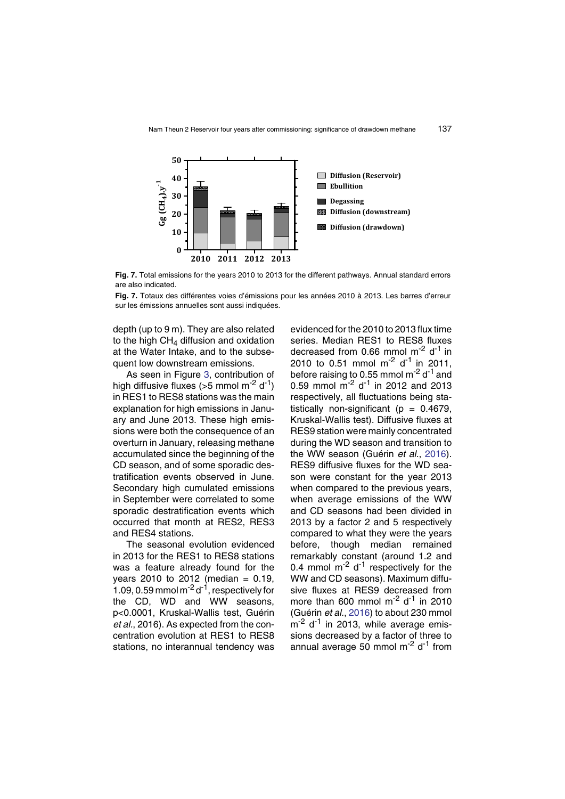

<span id="page-18-0"></span>**Fig. 7.** Total emissions for the years 2010 to 2013 for the different pathways. Annual standard errors are also indicated.

**Fig. 7.** Totaux des différentes voies d'émissions pour les années 2010 à 2013. Les barres d'erreur sur les émissions annuelles sont aussi indiquées.

depth (up to 9 m). They are also related to the high  $CH<sub>4</sub>$  diffusion and oxidation at the Water Intake, and to the subsequent low downstream emissions.

As seen in Figure [3](#page-11-0), contribution of high diffusive fluxes ( $>5$  mmol m<sup>-2</sup> d<sup>-1</sup>) in RES1 to RES8 stations was the main explanation for high emissions in January and June 2013. These high emissions were both the consequence of an overturn in January, releasing methane accumulated since the beginning of the CD season, and of some sporadic destratification events observed in June. Secondary high cumulated emissions in September were correlated to some sporadic destratification events which occurred that month at RES2, RES3 and RES4 stations.

The seasonal evolution evidenced in 2013 for the RES1 to RES8 stations was a feature already found for the  $years 2010 to 2012 (median = 0.19,$ 1.09, 0.59 mmol m $^{-2}$  d $^{-1}$ , respectively for the CD, WD and WW seasons. p<0.0001, Kruskal-Wallis test, Guérin *et al.*, 2016). As expected from the concentration evolution at RES1 to RES8 stations, no interannual tendency was evidenced for the 2010 to 2013 flux time series. Median RES1 to RES8 fluxes decreased from 0.66 mmol  $m<sup>-2</sup>$  d<sup>-1</sup> in 2010 to 0.51 mmol  $\text{m}^2$  d<sup>-1</sup> in 2011, before raising to 0.55 mmol  $\text{m}^2$  d<sup>-1</sup> and 0.59 mmol  $\text{m}^{-2}$  d<sup>-1</sup> in 2012 and 2013 respectively, all fluctuations being statistically non-significant ( $p = 0.4679$ , Kruskal-Wallis test). Diffusive fluxes at RES9 station were mainly concentrated during the WD season and transition to the WW season (Guérin *et al.*, 2[01](#page-26-11)6). RES9 diffusive fluxes for the WD season were constant for the year 2013 when compared to the previous years, when average emissions of the WW and CD seasons had been divided in 2013 by a factor 2 and 5 respectively compared to what they were the years before, though median remained remarkably constant (around 1.2 and 0.4 mmol  $\text{m}$ <sup>-2</sup> d<sup>-1</sup> respectively for the WW and CD seasons). Maximum diffusive fluxes at RES9 decreased from more than 600 mmol  $m<sup>-2</sup> d<sup>-1</sup>$  in 2010 (Guérin *et al.*, 20[1](#page-26-11)6) to about 230 mmol  $m<sup>-2</sup>$  d<sup>-1</sup> in 2013, while average emissions decreased by a factor of three to annual average 50 mmol  $\text{m}^2$  d<sup>-1</sup> from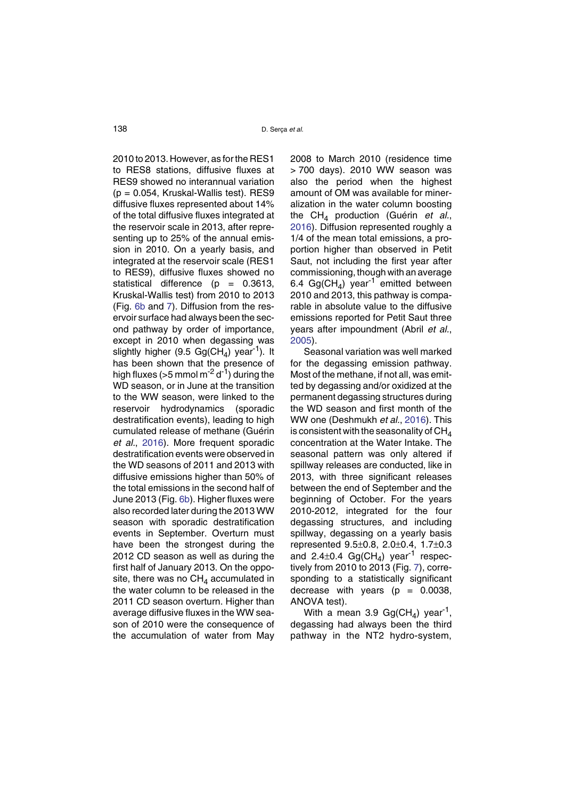2010 to 2013. However, as for the RES1 to RES8 stations, diffusive fluxes at RES9 showed no interannual variation  $(p = 0.054,$  Kruskal-Wallis test). RES9 diffusive fluxes represented about 14% of the total diffusive fluxes integrated at the reservoir scale in 2013, after representing up to 25% of the annual emission in 2010. On a yearly basis, and integrated at the reservoir scale (RES1 to RES9), diffusive fluxes showed no statistical difference  $(p = 0.3613,$ Kruskal-Wallis test) from 2010 to 2013 (Fig. [6](#page-16-1)b and [7](#page-18-0)). Diffusion from the reservoir surface had always been the second pathway by order of importance, except in 2010 when degassing was slightly higher (9.5  $Ga(CH_A)$  year<sup>-1</sup>). It has been shown that the presence of high fluxes ( $>5$  mmol m<sup>-2</sup> d<sup>-1</sup>) during the WD season, or in June at the transition to the WW season, were linked to the reservoir hydrodynamics (sporadic destratification events), leading to high cumulated release of methane (Guérin *et al.*, 2[01](#page-26-11)6). More frequent sporadic destratification events were observed in the WD seasons of 2011 and 2013 with diffusive emissions higher than 50% of the total emissions in the second half of June 2013 (Fig. [6](#page-16-1)b). Higher fluxes were also recorded later during the 2013 WW season with sporadic destratification events in September. Overturn must have been the strongest during the 2012 CD season as well as during the first half of January 2013. On the opposite, there was no  $CH<sub>4</sub>$  accumulated in the water column to be released in the 2011 CD season overturn. Higher than average diffusive fluxes in the WW season of 2010 were the consequence of the accumulation of water from May

2008 to March 2010 (residence time > 700 days). 2010 WW season was also the period when the highest amount of OM was available for mineralization in the water column boosting the CH4 production (Guérin *et al.*, 2[01](#page-26-11)6). Diffusion represented roughly a 1/4 of the mean total emissions, a proportion higher than observed in Petit Saut, not including the first year after commissioning, though with an average 6.4 Gg(CH<sub>4</sub>) year<sup>-1</sup> emitted between 2010 and 2013, this pathway is comparable in absolute value to the diffusive emissions reported for Petit Saut three years after impoundment (Abril *et al.*, 2[00](#page-24-1)5).

Seasonal variation was well marked for the degassing emission pathway. Most of the methane, if not all, was emitted by degassing and/or oxidized at the permanent degassing structures during the WD season and first month of the WW one (Deshmukh *et al.*, 20[1](#page-25-6)6). This is consistent with the seasonality of  $CH<sub>4</sub>$ concentration at the Water Intake. The seasonal pattern was only altered if spillway releases are conducted, like in 2013, with three significant releases between the end of September and the beginning of October. For the years 2010-2012, integrated for the four degassing structures, and including spillway, degassing on a yearly basis represented 9.5±0.8, 2.0±0.4, 1.7±0.3 and  $2.4\pm0.4$  Gg(CH<sub>4</sub>) year<sup>-1</sup> respectively from 2010 to 2013 (Fig. [7](#page-18-0)), corresponding to a statistically significant decrease with years  $(p = 0.0038,$ ANOVA test).

With a mean 3.9  $Gg(CH<sub>4</sub>)$  year<sup>-1</sup>, degassing had always been the third pathway in the NT2 hydro-system,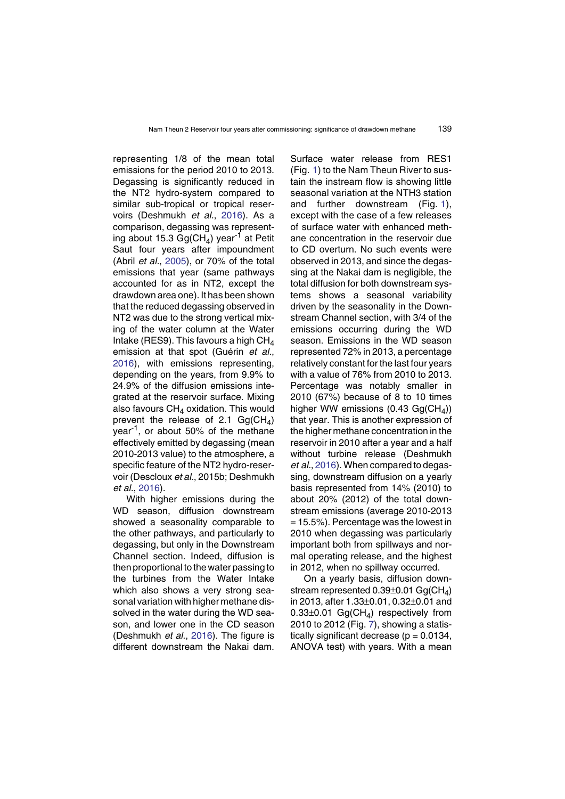representing 1/8 of the mean total emissions for the period 2010 to 2013. Degassing is significantly reduced in the NT2 hydro-system compared to similar sub-tropical or tropical reservoirs (Deshmukh *et al.*, 2[01](#page-25-6)6). As a comparison, degassing was representing about 15.3 Gg(CH<sub>4</sub>) year<sup>-1</sup> at Petit Saut four years after impoundment (Abril *et al.*, 2[00](#page-24-1)5), or 70% of the total emissions that year (same pathways accounted for as in NT2, except the drawdown area one). It has been shown that the reduced degassing observed in NT2 was due to the strong vertical mixing of the water column at the Water Intake (RES9). This favours a high  $CH<sub>4</sub>$ emission at that spot (Guérin *et al.*, 2[01](#page-26-11)6), with emissions representing, depending on the years, from 9.9% to 24.9% of the diffusion emissions integrated at the reservoir surface. Mixing also favours  $CH<sub>4</sub>$  oxidation. This would prevent the release of 2.1  $Gg(CH<sub>4</sub>)$ year<sup>-1</sup>, or about 50% of the methane effectively emitted by degassing (mean 2010-2013 value) to the atmosphere, a specific feature of the NT2 hydro-reservoir (Descloux *et al.*, 2015b; Deshmukh *et al.*, 2[01](#page-25-6)6).

With higher emissions during the WD season, diffusion downstream showed a seasonality comparable to the other pathways, and particularly to degassing, but only in the Downstream Channel section. Indeed, diffusion is then proportional to the water passing to the turbines from the Water Intake which also shows a very strong seasonal variation with higher methane dissolved in the water during the WD season, and lower one in the CD season (Deshmukh *et al.*, 20[1](#page-25-6)6). The figure is different downstream the Nakai dam.

Surface water release from RES1 (Fig. [1](#page-4-0)) to the Nam Theun River to sustain the instream flow is showing little seasonal variation at the NTH3 station and further downstream (Fig. [1](#page-4-0)), except with the case of a few releases of surface water with enhanced methane concentration in the reservoir due to CD overturn. No such events were observed in 2013, and since the degassing at the Nakai dam is negligible, the total diffusion for both downstream systems shows a seasonal variability driven by the seasonality in the Downstream Channel section, with 3/4 of the emissions occurring during the WD season. Emissions in the WD season represented 72% in 2013, a percentage relatively constant for the last four years with a value of 76% from 2010 to 2013. Percentage was notably smaller in 2010 (67%) because of 8 to 10 times higher WW emissions (0.43 Gg( $CH<sub>4</sub>$ )) that year. This is another expression of the higher methane concentration in the reservoir in 2010 after a year and a half without turbine release (Deshmukh *et al.*, 2[01](#page-25-6)6). When compared to degassing, downstream diffusion on a yearly basis represented from 14% (2010) to about 20% (2012) of the total downstream emissions (average 2010-2013  $= 15.5\%$ ). Percentage was the lowest in 2010 when degassing was particularly important both from spillways and normal operating release, and the highest in 2012, when no spillway occurred.

On a yearly basis, diffusion downstream represented  $0.39\pm0.01$  Gg(CH<sub>4</sub>) in 2013, after 1.33±0.01, 0.32±0.01 and 0.33 $\pm$ 0.01 Gg(CH<sub>4</sub>) respectively from 2010 to 2012 (Fig. [7](#page-18-0)), showing a statistically significant decrease ( $p = 0.0134$ , ANOVA test) with years. With a mean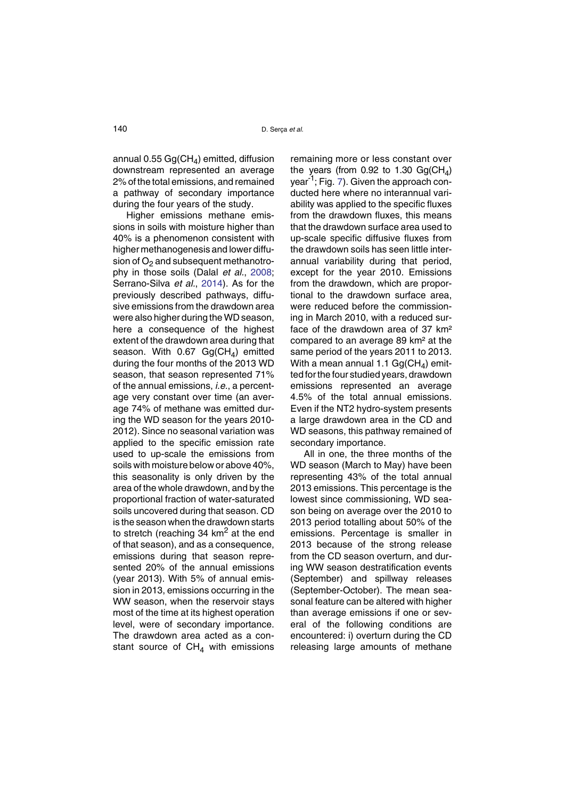annual 0.55  $Gg(CH<sub>4</sub>)$  emitted, diffusion downstream represented an average 2% of the total emissions, and remained a pathway of secondary importance during the four years of the study.

Higher emissions methane emissions in soils with moisture higher than 40% is a phenomenon consistent with higher methanogenesis and lower diffusion of  $O<sub>2</sub>$  and subsequent methanotrophy in those soils (Dalal *et al.*, 2[00](#page-25-12)8; Serrano-Silva *et al.*, 2[01](#page-26-13)4). As for the previously described pathways, diffusive emissions from the drawdown area were also higher during the WD season, here a consequence of the highest extent of the drawdown area during that season. With  $0.67$  Gg(CH<sub>4</sub>) emitted during the four months of the 2013 WD season, that season represented 71% of the annual emissions, *i.e.*, a percentage very constant over time (an average 74% of methane was emitted during the WD season for the years 2010- 2012). Since no seasonal variation was applied to the specific emission rate used to up-scale the emissions from soils with moisture below or above 40%, this seasonality is only driven by the area of the whole drawdown, and by the proportional fraction of water-saturated soils uncovered during that season. CD is the season when the drawdown starts to stretch (reaching 34  $km<sup>2</sup>$  at the end of that season), and as a consequence, emissions during that season represented 20% of the annual emissions (year 2013). With 5% of annual emission in 2013, emissions occurring in the WW season, when the reservoir stays most of the time at its highest operation level, were of secondary importance. The drawdown area acted as a constant source of  $CH<sub>4</sub>$  with emissions

remaining more or less constant over the years (from 0.92 to 1.30  $Ga(CH<sub>A</sub>)$ year-1; Fig. [7](#page-18-0)). Given the approach conducted here where no interannual variability was applied to the specific fluxes from the drawdown fluxes, this means that the drawdown surface area used to up-scale specific diffusive fluxes from the drawdown soils has seen little interannual variability during that period, except for the year 2010. Emissions from the drawdown, which are proportional to the drawdown surface area, were reduced before the commissioning in March 2010, with a reduced surface of the drawdown area of 37 km² compared to an average 89 km² at the same period of the years 2011 to 2013. With a mean annual 1.1  $Gg(CH<sub>4</sub>)$  emitted for the four studied years, drawdown emissions represented an average 4.5% of the total annual emissions. Even if the NT2 hydro-system presents a large drawdown area in the CD and WD seasons, this pathway remained of secondary importance.

All in one, the three months of the WD season (March to May) have been representing 43% of the total annual 2013 emissions. This percentage is the lowest since commissioning, WD season being on average over the 2010 to 2013 period totalling about 50% of the emissions. Percentage is smaller in 2013 because of the strong release from the CD season overturn, and during WW season destratification events (September) and spillway releases (September-October). The mean seasonal feature can be altered with higher than average emissions if one or several of the following conditions are encountered: i) overturn during the CD releasing large amounts of methane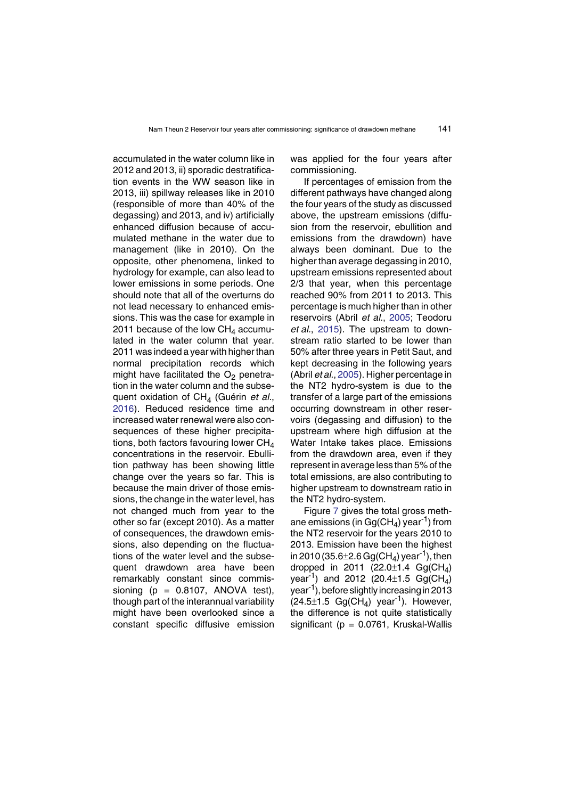accumulated in the water column like in 2012 and 2013, ii) sporadic destratification events in the WW season like in 2013, iii) spillway releases like in 2010 (responsible of more than 40% of the degassing) and 2013, and iv) artificially enhanced diffusion because of accumulated methane in the water due to management (like in 2010). On the opposite, other phenomena, linked to hydrology for example, can also lead to lower emissions in some periods. One should note that all of the overturns do not lead necessary to enhanced emissions. This was the case for example in 2011 because of the low  $CH<sub>4</sub>$  accumulated in the water column that year. 2011 was indeed a year with higher than normal precipitation records which might have facilitated the  $O<sub>2</sub>$  penetration in the water column and the subsequent oxidation of CH<sub>4</sub> (Guérin et al., 2[01](#page-26-11)6). Reduced residence time and increased water renewal were also consequences of these higher precipitations, both factors favouring lower  $CH<sub>4</sub>$ concentrations in the reservoir. Ebullition pathway has been showing little change over the years so far. This is because the main driver of those emissions, the change in the water level, has not changed much from year to the other so far (except 2010). As a matter of consequences, the drawdown emissions, also depending on the fluctuations of the water level and the subsequent drawdown area have been remarkably constant since commissioning  $(p = 0.8107, ANOVA test)$ , though part of the interannual variability might have been overlooked since a constant specific diffusive emission

was applied for the four years after commissioning.

If percentages of emission from the different pathways have changed along the four years of the study as discussed above, the upstream emissions (diffusion from the reservoir, ebullition and emissions from the drawdown) have always been dominant. Due to the higher than average degassing in 2010, upstream emissions represented about 2/3 that year, when this percentage reached 90% from 2011 to 2013. This percentage is much higher than in other reservoirs (Abril *et al.*, 2[00](#page-24-1)5; Teodoru *et al.*, 2[01](#page-27-6)5). The upstream to downstream ratio started to be lower than 50% after three years in Petit Saut, and kept decreasing in the following years (Abril *et al.*, 2[00](#page-24-1)5). Higher percentage in the NT2 hydro-system is due to the transfer of a large part of the emissions occurring downstream in other reservoirs (degassing and diffusion) to the upstream where high diffusion at the Water Intake takes place. Emissions from the drawdown area, even if they represent in average less than 5% of the total emissions, are also contributing to higher upstream to downstream ratio in the NT2 hydro-system.

Figure [7](#page-18-0) gives the total gross methane emissions (in  $Gg(CH<sub>4</sub>)$  year<sup>-1</sup>) from the NT2 reservoir for the years 2010 to 2013. Emission have been the highest in 2010 (35.6 $\pm$ 2.6 Gg(CH<sub>4</sub>) year<sup>-1</sup>), then dropped in 2011 (22.0 $\pm$ 1.4 Gg(CH<sub>4</sub>) vear<sup>-1</sup>) and 2012 (20.4 $\pm$ 1.5 Gg(CH<sub>4</sub>) year-1), before slightly increasing in 2013  $(24.5\pm1.5 \text{ Gg}(\text{CH}_4) \text{ year}^{-1})$ . However, the difference is not quite statistically significant ( $p = 0.0761$ , Kruskal-Wallis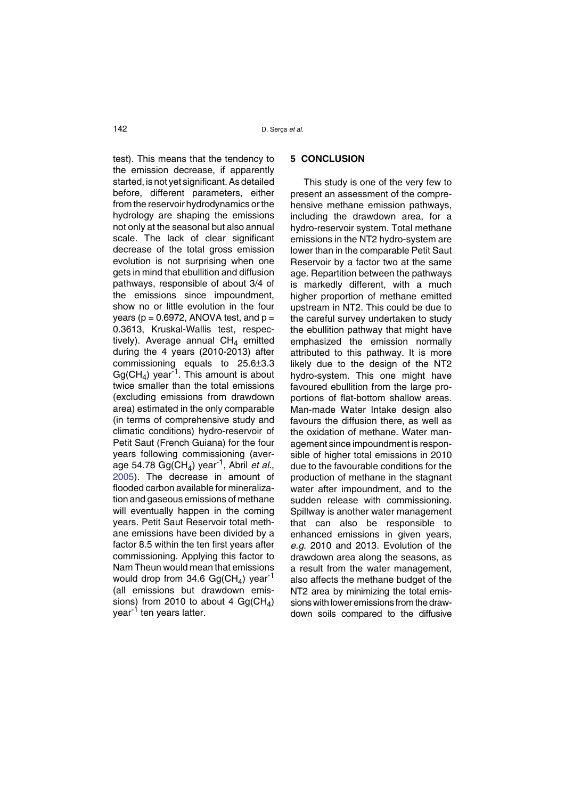test). This means that the tendency to the emission decrease, if apparently started, is not yet significant. As detailed before, different parameters, either from the reservoir hydrodynamics or the hydrology are shaping the emissions not only at the seasonal but also annual scale. The lack of clear significant decrease of the total gross emission evolution is not surprising when one gets in mind that ebullition and diffusion pathways, responsible of about 3/4 of the emissions since impoundment, show no or little evolution in the four years ( $p = 0.6972$ , ANOVA test, and  $p =$ 0.3613, Kruskal-Wallis test, respectively). Average annual  $CH<sub>4</sub>$  emitted during the 4 years (2010-2013) after commissioning equals to 25.6±3.3  $Gg(CH<sub>4</sub>)$  year<sup>-1</sup>. This amount is about twice smaller than the total emissions (excluding emissions from drawdown area) estimated in the only comparable (in terms of comprehensive study and climatic conditions) hydro-reservoir of Petit Saut (French Guiana) for the four years following commissioning (average 54.78  $Gg(CH<sub>4</sub>)$  year<sup>-1</sup>, Abril *et al.*, 2[00](#page-24-1)5). The decrease in amount of flooded carbon available for mineralization and gaseous emissions of methane will eventually happen in the coming years. Petit Saut Reservoir total methane emissions have been divided by a factor 8.5 within the ten first years after commissioning. Applying this factor to Nam Theun would mean that emissions would drop from 34.6 Gg(CH<sub>4</sub>) year<sup>-1</sup> (all emissions but drawdown emissions) from 2010 to about 4 Gg(CH<sub>4</sub>) year<sup>-1</sup> ten years latter.

## **5 CONCLUSION**

This study is one of the very few to present an assessment of the comprehensive methane emission pathways, including the drawdown area, for a hydro-reservoir system. Total methane emissions in the NT2 hydro-system are lower than in the comparable Petit Saut Reservoir by a factor two at the same age. Repartition between the pathways is markedly different, with a much higher proportion of methane emitted upstream in NT2. This could be due to the careful survey undertaken to study the ebullition pathway that might have emphasized the emission normally attributed to this pathway. It is more likely due to the design of the NT2 hydro-system. This one might have favoured ebullition from the large proportions of flat-bottom shallow areas. Man-made Water Intake design also favours the diffusion there, as well as the oxidation of methane. Water management since impoundment is responsible of higher total emissions in 2010 due to the favourable conditions for the production of methane in the stagnant water after impoundment, and to the sudden release with commissioning. Spillway is another water management that can also be responsible to enhanced emissions in given years, *e.g.* 2010 and 2013. Evolution of the drawdown area along the seasons, as a result from the water management, also affects the methane budget of the NT2 area by minimizing the total emissions with lower emissions from the drawdown soils compared to the diffusive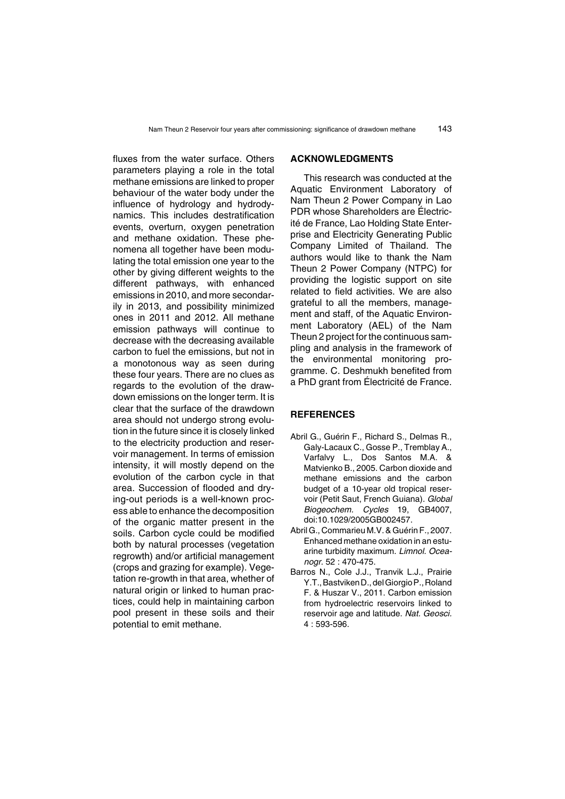fluxes from the water surface. Others parameters playing a role in the total methane emissions are linked to proper behaviour of the water body under the influence of hydrology and hydrodynamics. This includes destratification events, overturn, oxygen penetration and methane oxidation. These phenomena all together have been modulating the total emission one year to the other by giving different weights to the different pathways, with enhanced emissions in 2010, and more secondarily in 2013, and possibility minimized ones in 2011 and 2012. All methane emission pathways will continue to decrease with the decreasing available carbon to fuel the emissions, but not in a monotonous way as seen during these four years. There are no clues as regards to the evolution of the drawdown emissions on the longer term. It is clear that the surface of the drawdown area should not undergo strong evolution in the future since it is closely linked to the electricity production and reservoir management. In terms of emission intensity, it will mostly depend on the evolution of the carbon cycle in that area. Succession of flooded and drying-out periods is a well-known process able to enhance the decomposition of the organic matter present in the soils. Carbon cycle could be modified both by natural processes (vegetation regrowth) and/or artificial management (crops and grazing for example). Vegetation re-growth in that area, whether of natural origin or linked to human practices, could help in maintaining carbon pool present in these soils and their potential to emit methane.

## **ACKNOWLEDGMENTS**

This research was conducted at the Aquatic Environment Laboratory of Nam Theun 2 Power Company in Lao PDR whose Shareholders are Électricité de France, Lao Holding State Enterprise and Electricity Generating Public Company Limited of Thailand. The authors would like to thank the Nam Theun 2 Power Company (NTPC) for providing the logistic support on site related to field activities. We are also grateful to all the members, management and staff, of the Aquatic Environment Laboratory (AEL) of the Nam Theun 2 project for the continuous sampling and analysis in the framework of the environmental monitoring programme. C. Deshmukh benefited from a PhD grant from Électricité de France.

## **REFERENCES**

- <span id="page-24-1"></span>Abril G., Guérin F., Richard S., Delmas R., Galy-Lacaux C., Gosse P., Tremblay A., Varfalvy L., Dos Santos M.A. & Matvienko B., 2005. Carbon dioxide and methane emissions and the carbon budget of a 10-year old tropical reservoir (Petit Saut, French Guiana). *Global Biogeochem. Cycles* 19, GB4007, doi:10.1029/2005GB002457.
- <span id="page-24-2"></span>Abril G., Commarieu M.V. & Guérin F., 2007. Enhanced methane oxidation in an estuarine turbidity maximum. *Limnol. Oceanogr.* 52 : 470-475.
- <span id="page-24-0"></span>Barros N., Cole J.J., Tranvik L.J., Prairie Y.T.,BastvikenD., delGiorgioP.,Roland F. & Huszar V., 2011. Carbon emission from hydroelectric reservoirs linked to reservoir age and latitude. *Nat. Geosci.* 4 : 593-596.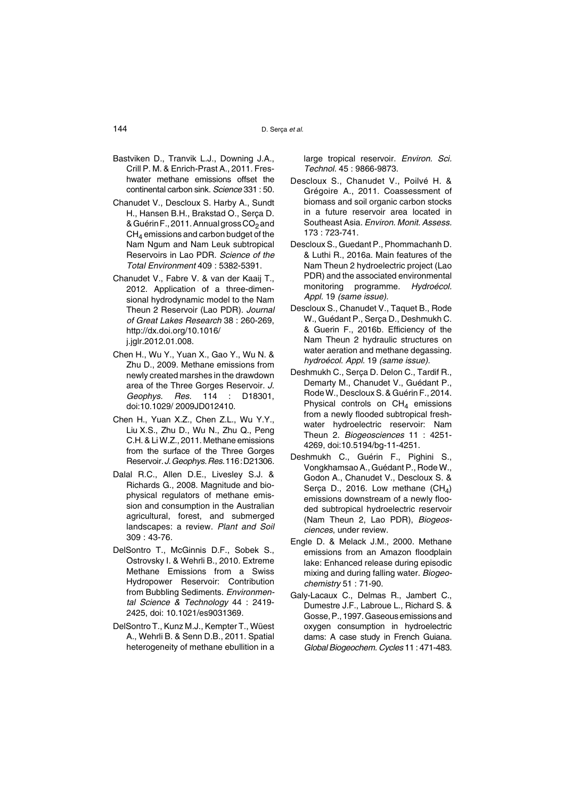- <span id="page-25-10"></span>Bastviken D., Tranvik L.J., Downing J.A., Crill P. M. & Enrich-Prast A., 2011. Freshwater methane emissions offset the continental carbon sink. *Science* 331 : 50.
- Chanudet V., Descloux S. Harby A., Sundt H., Hansen B.H., Brakstad O., Serça D. & Guérin F., 2011. Annual gross  $CO<sub>2</sub>$  and  $CH<sub>4</sub>$  emissions and carbon budget of the Nam Ngum and Nam Leuk subtropical Reservoirs in Lao PDR. *Science of the Total Environment* 409 : 5382-5391.
- <span id="page-25-3"></span>Chanudet V., Fabre V. & van der Kaaij T., 2012. Application of a three-dimensional hydrodynamic model to the Nam Theun 2 Reservoir (Lao PDR). *Journal of Great Lakes Research* 38 : 260-269, http://dx.doi.org/10.1016/ j.jglr.2012.01.008.
- <span id="page-25-2"></span>Chen H., Wu Y., Yuan X., Gao Y., Wu N. & Zhu D., 2009. Methane emissions from newly created marshes in the drawdown area of the Three Gorges Reservoir*. J. Geophys. Res.* 114 : D18301, doi:10.1029/ 2009JD012410.
- <span id="page-25-7"></span>Chen H., Yuan X.Z., Chen Z.L., Wu Y.Y., Liu X.S., Zhu D., Wu N., Zhu Q., Peng C.H. & Li W.Z., 2011. Methane emissions from the surface of the Three Gorges Reservoir.*J.Geophys.Res.*116:D21306.
- <span id="page-25-12"></span>Dalal R.C., Allen D.E., Livesley S.J. & Richards G., 2008. Magnitude and biophysical regulators of methane emission and consumption in the Australian agricultural, forest, and submerged landscapes: a review. *Plant and Soil* 309 : 43-76.
- <span id="page-25-0"></span>DelSontro T., McGinnis D.F., Sobek S., Ostrovsky I. & Wehrli B., 2010. Extreme Methane Emissions from a Swiss Hydropower Reservoir: Contribution from Bubbling Sediments. *Environmental Science & Technology* 44 : 2419- 2425, doi: 10.1021/es9031369.
- <span id="page-25-4"></span>DelSontro T., Kunz M.J., Kempter T., Wüest A., Wehrli B. & Senn D.B., 2011. Spatial heterogeneity of methane ebullition in a

large tropical reservoir. *Environ. Sci. Technol.* 45 : 9866-9873.

- <span id="page-25-8"></span>Descloux S., Chanudet V., Poilvé H. & Grégoire A., 2011. Coassessment of biomass and soil organic carbon stocks in a future reservoir area located in Southeast Asia. *Environ. Monit. Assess.* 173 : 723-741.
- Descloux S., Guedant P., Phommachanh D. & Luthi R., 2016a. Main features of the Nam Theun 2 hydroelectric project (Lao PDR) and the associated environmental monitoring programme. *Hydroécol. Appl.* 19 *(same issue).*
- <span id="page-25-9"></span>Descloux S., Chanudet V., Taquet B., Rode W., Guédant P., Serça D., Deshmukh C. & Guerin F., 2016b. Efficiency of the Nam Theun 2 hydraulic structures on water aeration and methane degassing. *hydroécol. Appl.* 19 *(same issue).*
- <span id="page-25-1"></span>Deshmukh C., Serça D. Delon C., Tardif R., Demarty M., Chanudet V., Guédant P., RodeW., Descloux S. & Guérin F., 2014. Physical controls on  $CH<sub>4</sub>$  emissions from a newly flooded subtropical freshwater hydroelectric reservoir: Nam Theun 2. *Biogeosciences* 11 : 4251- 4269, doi:10.5194/bg-11-4251.
- <span id="page-25-6"></span>Deshmukh C., Guérin F., Pighini S., Vongkhamsao A., Guédant P., Rode W., Godon A., Chanudet V., Descloux S. & Serça D., 2016. Low methane  $(CH_4)$ emissions downstream of a newly flooded subtropical hydroelectric reservoir (Nam Theun 2, Lao PDR), *Biogeosciences*, under review.
- <span id="page-25-11"></span>Engle D. & Melack J.M., 2000. Methane emissions from an Amazon floodplain lake: Enhanced release during episodic mixing and during falling water. *Biogeochemistry* 51 : 71-90.
- <span id="page-25-5"></span>Galy-Lacaux C., Delmas R., Jambert C., Dumestre J.F., Labroue L., Richard S. & Gosse,P., 1997. Gaseous emissions and oxygen consumption in hydroelectric dams: A case study in French Guiana. *Global Biogeochem. Cycles* 11 : 471-483.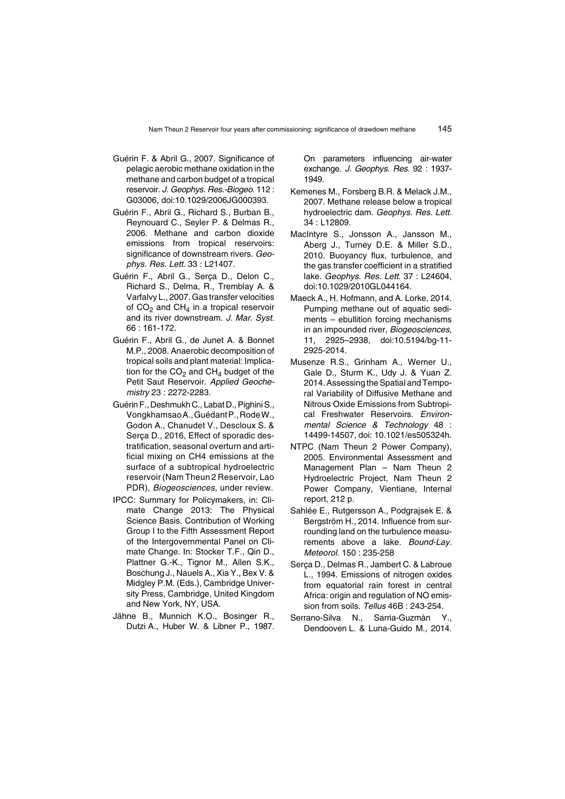- <span id="page-26-10"></span>Guérin F. & Abril G., 2007. Significance of pelagic aerobic methane oxidation in the methane and carbon budget of a tropical reservoir. *J. Geophys. Res.-Biogeo.* 112 : G03006, doi:10.1029/2006JG000393.
- <span id="page-26-3"></span>Guérin F., Abril G., Richard S., Burban B., Reynouard C., Seyler P. & Delmas R., 2006. Methane and carbon dioxide emissions from tropical reservoirs: significance of downstream rivers. *Geophys. Res. Lett.* 33 : L21407.
- <span id="page-26-4"></span>Guérin F., Abril G., Serça D., Delon C., Richard S., Delma, R., Tremblay A. & Varfalvy L., 2007. Gas transfer velocities of  $CO<sub>2</sub>$  and  $CH<sub>4</sub>$  in a tropical reservoir and its river downstream. *J. Mar. Syst.* 66 : 161-172.
- Guérin F., Abril G., de Junet A. & Bonnet M.P., 2008. Anaerobic decomposition of tropical soils and plant material: Implication for the  $CO<sub>2</sub>$  and  $CH<sub>4</sub>$  budget of the Petit Saut Reservoir. *Applied Geochemistry* 23 : 2272-2283.
- <span id="page-26-11"></span>Guérin F., Deshmukh C., Labat D., Pighini S., VongkhamsaoA.,GuédantP.,RodeW., Godon A., Chanudet V., Descloux S. & Serça D., 2016, Effect of sporadic destratification, seasonal overturn and artificial mixing on CH4 emissions at the surface of a subtropical hydroelectric reservoir (Nam Theun 2 Reservoir, Lao PDR), *Biogeosciences*, under review*.*
- <span id="page-26-0"></span>IPCC: Summary for Policymakers, in: Climate Change 2013: The Physical Science Basis. Contribution of Working Group I to the Fifth Assessment Report of the Intergovernmental Panel on Climate Change. In: Stocker T.F., Qin D., Plattner G.-K., Tignor M., Allen S.K., Boschung J., Nauels A., Xia Y., Bex V. & Midgley P.M. (Eds.), Cambridge University Press, Cambridge, United Kingdom and New York, NY, USA.
- <span id="page-26-8"></span>Jähne B., Munnich K.O., Bosinger R., Dutzi A., Huber W. & Libner P., 1987.

On parameters influencing air-water exchange. *J. Geophys. Res.* 92 : 1937- 1949.

- <span id="page-26-5"></span>Kemenes M., Forsberg B.R. & Melack J.M., 2007. Methane release below a tropical hydroelectric dam. *Geophys. Res. Lett.* 34 : L12809.
- <span id="page-26-9"></span>MacIntyre S., Jonsson A., Jansson M., Aberg J., Turney D.E. & Miller S.D., 2010. Buoyancy flux, turbulence, and the gas transfer coefficient in a stratified lake. *Geophys. Res. Lett*. 37 : L24604, doi:10.1029/2010GL044164.
- <span id="page-26-6"></span>Maeck A., H. Hofmann, and A. Lorke, 2014. Pumping methane out of aquatic sediments – ebullition forcing mechanisms in an impounded river, *Biogeosciences*, 11, 2925–2938, doi:10.5194/bg-11- 2925-2014.
- <span id="page-26-1"></span>Musenze R.S., Grinham A., Werner U., Gale D., Sturm K., Udy J. & Yuan Z. 2014. Assessing the Spatial and Temporal Variability of Diffusive Methane and Nitrous Oxide Emissions from Subtropical Freshwater Reservoirs. *Environmental Science & Technology* 48 : 14499-14507, doi: 10.1021/es505324h.
- <span id="page-26-7"></span>NTPC (Nam Theun 2 Power Company), 2005. Environmental Assessment and Management Plan – Nam Theun 2 Hydroelectric Project, Nam Theun 2 Power Company, Vientiane, Internal report, 212 p.
- <span id="page-26-2"></span>Sahlée E., Rutgersson A., Podgrajsek E. & Bergström H., 2014. Influence from surrounding land on the turbulence measurements above a lake. *Bound-Lay. Meteorol.* 150 : 235-258
- <span id="page-26-12"></span>Serça D., Delmas R., Jambert C. & Labroue L., 1994. Emissions of nitrogen oxides from equatorial rain forest in central Africa: origin and regulation of NO emission from soils. *Tellus* 46B : 243-254.
- <span id="page-26-13"></span>Serrano-Silva N., Sarria-Guzmàn Y., Dendooven L. & Luna-Guido M., 2014.